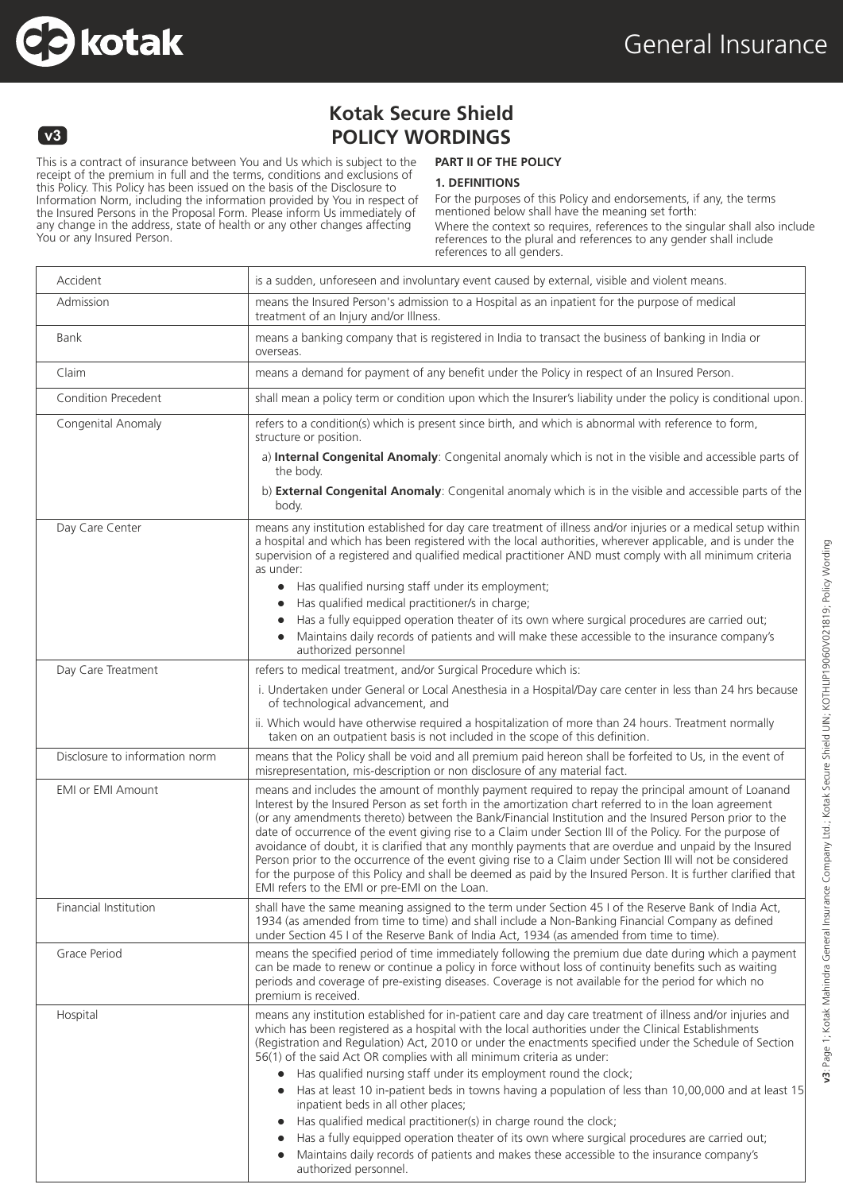



# **Kotak Secure Shield POLICY WORDINGS**

This is a contract of insurance between You and Us which is subject to the receipt of the premium in full and the terms, conditions and exclusions of this Policy. This Policy has been issued on the basis of the Disclosure to Information Norm, including the information provided by You in respect of the Insured Persons in the Proposal Form. Please inform Us immediately of any change in the address, state of health or any other changes affecting You or any Insured Person.

### **PART II OF THE POLICY**

#### **1. DEFINITIONS**

For the purposes of this Policy and endorsements, if any, the terms mentioned below shall have the meaning set forth: Where the context so requires, references to the singular shall also include references to the plural and references to any gender shall include references to all genders.

| Accident                       | is a sudden, unforeseen and involuntary event caused by external, visible and violent means.                                                                                                                                                                                                                                                                                                                                                                                                                                                                                                                                                                                                                                                                                                                                        |  |
|--------------------------------|-------------------------------------------------------------------------------------------------------------------------------------------------------------------------------------------------------------------------------------------------------------------------------------------------------------------------------------------------------------------------------------------------------------------------------------------------------------------------------------------------------------------------------------------------------------------------------------------------------------------------------------------------------------------------------------------------------------------------------------------------------------------------------------------------------------------------------------|--|
| Admission                      | means the Insured Person's admission to a Hospital as an inpatient for the purpose of medical<br>treatment of an Injury and/or Illness.                                                                                                                                                                                                                                                                                                                                                                                                                                                                                                                                                                                                                                                                                             |  |
| Bank                           | means a banking company that is registered in India to transact the business of banking in India or<br>overseas.                                                                                                                                                                                                                                                                                                                                                                                                                                                                                                                                                                                                                                                                                                                    |  |
| Claim                          | means a demand for payment of any benefit under the Policy in respect of an Insured Person.                                                                                                                                                                                                                                                                                                                                                                                                                                                                                                                                                                                                                                                                                                                                         |  |
| Condition Precedent            | shall mean a policy term or condition upon which the Insurer's liability under the policy is conditional upon.                                                                                                                                                                                                                                                                                                                                                                                                                                                                                                                                                                                                                                                                                                                      |  |
| Congenital Anomaly             | refers to a condition(s) which is present since birth, and which is abnormal with reference to form,<br>structure or position.                                                                                                                                                                                                                                                                                                                                                                                                                                                                                                                                                                                                                                                                                                      |  |
|                                | a) Internal Congenital Anomaly: Congenital anomaly which is not in the visible and accessible parts of<br>the body.                                                                                                                                                                                                                                                                                                                                                                                                                                                                                                                                                                                                                                                                                                                 |  |
|                                | b) External Congenital Anomaly: Congenital anomaly which is in the visible and accessible parts of the<br>body.                                                                                                                                                                                                                                                                                                                                                                                                                                                                                                                                                                                                                                                                                                                     |  |
| Day Care Center                | means any institution established for day care treatment of illness and/or injuries or a medical setup within<br>a hospital and which has been registered with the local authorities, wherever applicable, and is under the<br>supervision of a registered and qualified medical practitioner AND must comply with all minimum criteria<br>as under:                                                                                                                                                                                                                                                                                                                                                                                                                                                                                |  |
|                                | • Has qualified nursing staff under its employment;<br>Has qualified medical practitioner/s in charge;                                                                                                                                                                                                                                                                                                                                                                                                                                                                                                                                                                                                                                                                                                                              |  |
|                                | $\bullet$<br>Has a fully equipped operation theater of its own where surgical procedures are carried out;                                                                                                                                                                                                                                                                                                                                                                                                                                                                                                                                                                                                                                                                                                                           |  |
|                                | Maintains daily records of patients and will make these accessible to the insurance company's<br>authorized personnel                                                                                                                                                                                                                                                                                                                                                                                                                                                                                                                                                                                                                                                                                                               |  |
| Day Care Treatment             | refers to medical treatment, and/or Surgical Procedure which is:                                                                                                                                                                                                                                                                                                                                                                                                                                                                                                                                                                                                                                                                                                                                                                    |  |
|                                | i. Undertaken under General or Local Anesthesia in a Hospital/Day care center in less than 24 hrs because<br>of technological advancement, and                                                                                                                                                                                                                                                                                                                                                                                                                                                                                                                                                                                                                                                                                      |  |
|                                | ii. Which would have otherwise required a hospitalization of more than 24 hours. Treatment normally<br>taken on an outpatient basis is not included in the scope of this definition.                                                                                                                                                                                                                                                                                                                                                                                                                                                                                                                                                                                                                                                |  |
| Disclosure to information norm | means that the Policy shall be void and all premium paid hereon shall be forfeited to Us, in the event of<br>misrepresentation, mis-description or non disclosure of any material fact.                                                                                                                                                                                                                                                                                                                                                                                                                                                                                                                                                                                                                                             |  |
| <b>EMI or EMI Amount</b>       | means and includes the amount of monthly payment required to repay the principal amount of Loanand<br>Interest by the Insured Person as set forth in the amortization chart referred to in the loan agreement<br>(or any amendments thereto) between the Bank/Financial Institution and the Insured Person prior to the<br>date of occurrence of the event giving rise to a Claim under Section III of the Policy. For the purpose of<br>avoidance of doubt, it is clarified that any monthly payments that are overdue and unpaid by the Insured<br>Person prior to the occurrence of the event giving rise to a Claim under Section III will not be considered<br>for the purpose of this Policy and shall be deemed as paid by the Insured Person. It is further clarified that<br>EMI refers to the EMI or pre-EMI on the Loan. |  |
| Financial Institution          | shall have the same meaning assigned to the term under Section 45 I of the Reserve Bank of India Act,<br>1934 (as amended from time to time) and shall include a Non-Banking Financial Company as defined<br>under Section 45 I of the Reserve Bank of India Act, 1934 (as amended from time to time).                                                                                                                                                                                                                                                                                                                                                                                                                                                                                                                              |  |
| Grace Period                   | means the specified period of time immediately following the premium due date during which a payment<br>can be made to renew or continue a policy in force without loss of continuity benefits such as waiting<br>periods and coverage of pre-existing diseases. Coverage is not available for the period for which no<br>premium is received.                                                                                                                                                                                                                                                                                                                                                                                                                                                                                      |  |
| Hospital                       | means any institution established for in-patient care and day care treatment of illness and/or injuries and<br>which has been registered as a hospital with the local authorities under the Clinical Establishments<br>(Registration and Regulation) Act, 2010 or under the enactments specified under the Schedule of Section<br>56(1) of the said Act OR complies with all minimum criteria as under:<br>Has qualified nursing staff under its employment round the clock;<br>Has at least 10 in-patient beds in towns having a population of less than 10,00,000 and at least 15<br>inpatient beds in all other places;<br>Has qualified medical practitioner(s) in charge round the clock;<br>Has a fully equipped operation theater of its own where surgical procedures are carried out;                                      |  |
|                                | Maintains daily records of patients and makes these accessible to the insurance company's<br>authorized personnel.                                                                                                                                                                                                                                                                                                                                                                                                                                                                                                                                                                                                                                                                                                                  |  |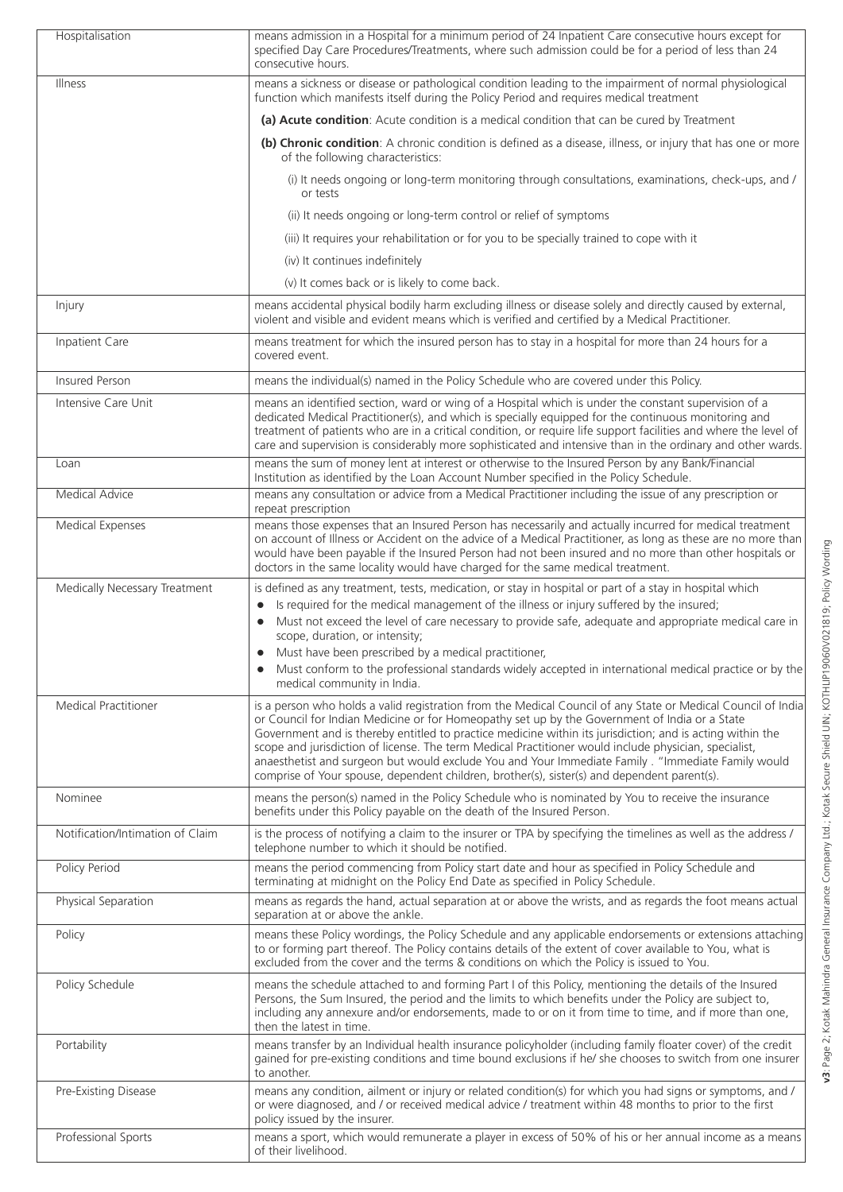| Hospitalisation                  | means admission in a Hospital for a minimum period of 24 Inpatient Care consecutive hours except for<br>specified Day Care Procedures/Treatments, where such admission could be for a period of less than 24<br>consecutive hours.                                                                                                                                                                                                                                                                                                                                                                                                       |  |
|----------------------------------|------------------------------------------------------------------------------------------------------------------------------------------------------------------------------------------------------------------------------------------------------------------------------------------------------------------------------------------------------------------------------------------------------------------------------------------------------------------------------------------------------------------------------------------------------------------------------------------------------------------------------------------|--|
| Illness                          | means a sickness or disease or pathological condition leading to the impairment of normal physiological<br>function which manifests itself during the Policy Period and requires medical treatment                                                                                                                                                                                                                                                                                                                                                                                                                                       |  |
|                                  | (a) Acute condition: Acute condition is a medical condition that can be cured by Treatment                                                                                                                                                                                                                                                                                                                                                                                                                                                                                                                                               |  |
|                                  | (b) Chronic condition: A chronic condition is defined as a disease, illness, or injury that has one or more<br>of the following characteristics:                                                                                                                                                                                                                                                                                                                                                                                                                                                                                         |  |
|                                  | (i) It needs ongoing or long-term monitoring through consultations, examinations, check-ups, and /<br>or tests                                                                                                                                                                                                                                                                                                                                                                                                                                                                                                                           |  |
|                                  | (ii) It needs ongoing or long-term control or relief of symptoms                                                                                                                                                                                                                                                                                                                                                                                                                                                                                                                                                                         |  |
|                                  | (iii) It requires your rehabilitation or for you to be specially trained to cope with it                                                                                                                                                                                                                                                                                                                                                                                                                                                                                                                                                 |  |
|                                  | (iv) It continues indefinitely                                                                                                                                                                                                                                                                                                                                                                                                                                                                                                                                                                                                           |  |
|                                  | (v) It comes back or is likely to come back.                                                                                                                                                                                                                                                                                                                                                                                                                                                                                                                                                                                             |  |
| Injury                           | means accidental physical bodily harm excluding illness or disease solely and directly caused by external,<br>violent and visible and evident means which is verified and certified by a Medical Practitioner.                                                                                                                                                                                                                                                                                                                                                                                                                           |  |
| Inpatient Care                   | means treatment for which the insured person has to stay in a hospital for more than 24 hours for a<br>covered event.                                                                                                                                                                                                                                                                                                                                                                                                                                                                                                                    |  |
| <b>Insured Person</b>            | means the individual(s) named in the Policy Schedule who are covered under this Policy.                                                                                                                                                                                                                                                                                                                                                                                                                                                                                                                                                  |  |
| Intensive Care Unit              | means an identified section, ward or wing of a Hospital which is under the constant supervision of a<br>dedicated Medical Practitioner(s), and which is specially equipped for the continuous monitoring and<br>treatment of patients who are in a critical condition, or require life support facilities and where the level of<br>care and supervision is considerably more sophisticated and intensive than in the ordinary and other wards.                                                                                                                                                                                          |  |
| Loan                             | means the sum of money lent at interest or otherwise to the Insured Person by any Bank/Financial<br>Institution as identified by the Loan Account Number specified in the Policy Schedule.                                                                                                                                                                                                                                                                                                                                                                                                                                               |  |
| <b>Medical Advice</b>            | means any consultation or advice from a Medical Practitioner including the issue of any prescription or<br>repeat prescription                                                                                                                                                                                                                                                                                                                                                                                                                                                                                                           |  |
| Medical Expenses                 | means those expenses that an Insured Person has necessarily and actually incurred for medical treatment<br>on account of Illness or Accident on the advice of a Medical Practitioner, as long as these are no more than<br>would have been payable if the Insured Person had not been insured and no more than other hospitals or<br>doctors in the same locality would have charged for the same medical treatment.                                                                                                                                                                                                                     |  |
| Medically Necessary Treatment    | is defined as any treatment, tests, medication, or stay in hospital or part of a stay in hospital which<br>Is required for the medical management of the illness or injury suffered by the insured;<br>$\bullet$<br>Must not exceed the level of care necessary to provide safe, adequate and appropriate medical care in<br>$\bullet$<br>scope, duration, or intensity;<br>Must have been prescribed by a medical practitioner,<br>$\bullet$<br>Must conform to the professional standards widely accepted in international medical practice or by the<br>medical community in India.                                                   |  |
| <b>Medical Practitioner</b>      | is a person who holds a valid registration from the Medical Council of any State or Medical Council of India<br>or Council for Indian Medicine or for Homeopathy set up by the Government of India or a State<br>Government and is thereby entitled to practice medicine within its jurisdiction; and is acting within the<br>scope and jurisdiction of license. The term Medical Practitioner would include physician, specialist,<br>anaesthetist and surgeon but would exclude You and Your Immediate Family . "Immediate Family would<br>comprise of Your spouse, dependent children, brother(s), sister(s) and dependent parent(s). |  |
| Nominee                          | means the person(s) named in the Policy Schedule who is nominated by You to receive the insurance<br>benefits under this Policy payable on the death of the Insured Person.                                                                                                                                                                                                                                                                                                                                                                                                                                                              |  |
| Notification/Intimation of Claim | is the process of notifying a claim to the insurer or TPA by specifying the timelines as well as the address /<br>telephone number to which it should be notified.                                                                                                                                                                                                                                                                                                                                                                                                                                                                       |  |
| Policy Period                    | means the period commencing from Policy start date and hour as specified in Policy Schedule and<br>terminating at midnight on the Policy End Date as specified in Policy Schedule.                                                                                                                                                                                                                                                                                                                                                                                                                                                       |  |
| Physical Separation              | means as regards the hand, actual separation at or above the wrists, and as regards the foot means actual<br>separation at or above the ankle.                                                                                                                                                                                                                                                                                                                                                                                                                                                                                           |  |
| Policy                           | means these Policy wordings, the Policy Schedule and any applicable endorsements or extensions attaching<br>to or forming part thereof. The Policy contains details of the extent of cover available to You, what is<br>excluded from the cover and the terms & conditions on which the Policy is issued to You.                                                                                                                                                                                                                                                                                                                         |  |
| Policy Schedule                  | means the schedule attached to and forming Part I of this Policy, mentioning the details of the Insured<br>Persons, the Sum Insured, the period and the limits to which benefits under the Policy are subject to,<br>including any annexure and/or endorsements, made to or on it from time to time, and if more than one,<br>then the latest in time.                                                                                                                                                                                                                                                                                   |  |
| Portability                      | means transfer by an Individual health insurance policyholder (including family floater cover) of the credit<br>gained for pre-existing conditions and time bound exclusions if he/ she chooses to switch from one insurer<br>to another.                                                                                                                                                                                                                                                                                                                                                                                                |  |
| Pre-Existing Disease             | means any condition, ailment or injury or related condition(s) for which you had signs or symptoms, and /<br>or were diagnosed, and / or received medical advice / treatment within 48 months to prior to the first<br>policy issued by the insurer.                                                                                                                                                                                                                                                                                                                                                                                     |  |
| Professional Sports              | means a sport, which would remunerate a player in excess of 50% of his or her annual income as a means<br>of their livelihood.                                                                                                                                                                                                                                                                                                                                                                                                                                                                                                           |  |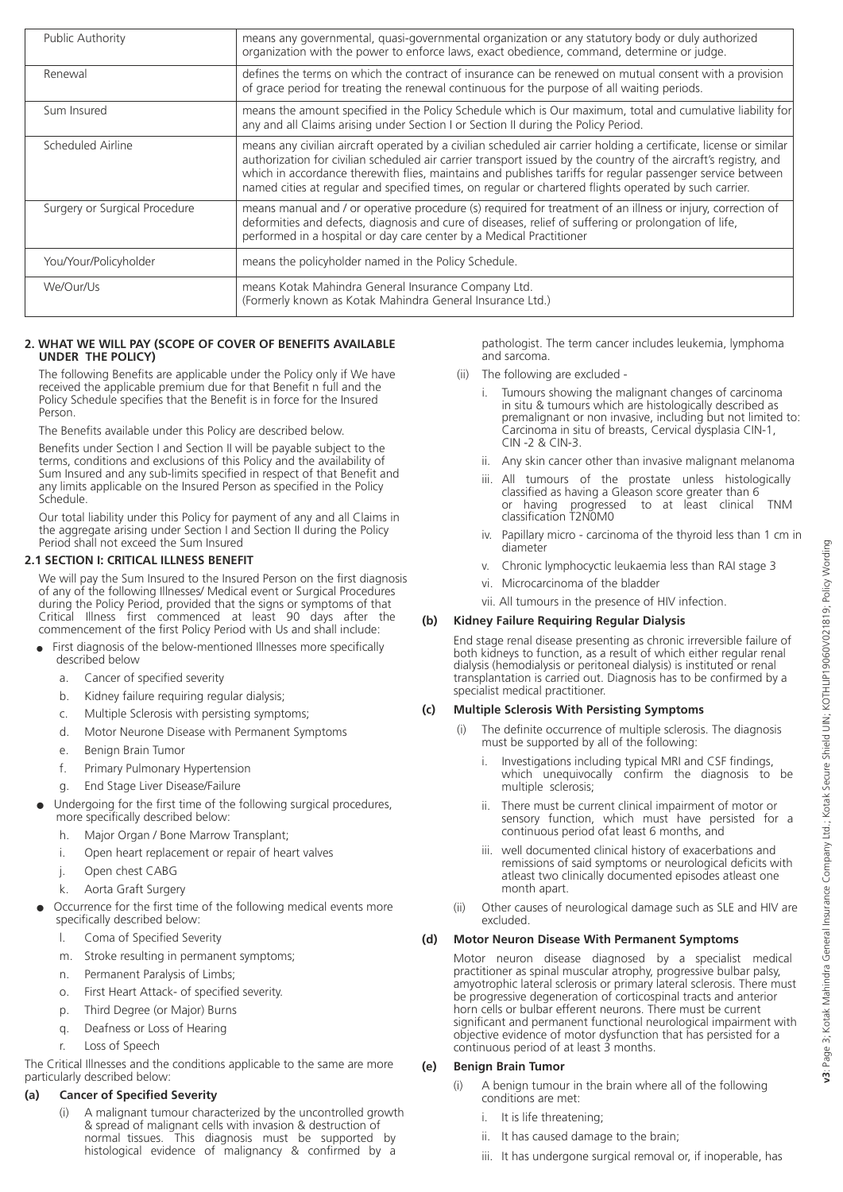| <b>Public Authority</b>       | means any governmental, quasi-governmental organization or any statutory body or duly authorized<br>organization with the power to enforce laws, exact obedience, command, determine or judge.                                                                                                                                                                                                                                                                 |
|-------------------------------|----------------------------------------------------------------------------------------------------------------------------------------------------------------------------------------------------------------------------------------------------------------------------------------------------------------------------------------------------------------------------------------------------------------------------------------------------------------|
| Renewal                       | defines the terms on which the contract of insurance can be renewed on mutual consent with a provision<br>of grace period for treating the renewal continuous for the purpose of all waiting periods.                                                                                                                                                                                                                                                          |
| Sum Insured                   | means the amount specified in the Policy Schedule which is Our maximum, total and cumulative liability for<br>any and all Claims arising under Section I or Section II during the Policy Period.                                                                                                                                                                                                                                                               |
| Scheduled Airline             | means any civilian aircraft operated by a civilian scheduled air carrier holding a certificate, license or similar<br>authorization for civilian scheduled air carrier transport issued by the country of the aircraft's registry, and<br>which in accordance therewith flies, maintains and publishes tariffs for regular passenger service between<br>named cities at regular and specified times, on regular or chartered flights operated by such carrier. |
| Surgery or Surgical Procedure | means manual and / or operative procedure (s) required for treatment of an illness or injury, correction of<br>deformities and defects, diagnosis and cure of diseases, relief of suffering or prolongation of life,<br>performed in a hospital or day care center by a Medical Practitioner                                                                                                                                                                   |
| You/Your/Policyholder         | means the policyholder named in the Policy Schedule.                                                                                                                                                                                                                                                                                                                                                                                                           |
| We/Our/Us                     | means Kotak Mahindra General Insurance Company Ltd.<br>(Formerly known as Kotak Mahindra General Insurance Ltd.)                                                                                                                                                                                                                                                                                                                                               |

#### **2. WHAT WE WILL PAY (SCOPE OF COVER OF BENEFITS AVAILABLE UNDER THE POLICY)**

The following Benefits are applicable under the Policy only if We have received the applicable premium due for that Benefit n full and the Policy Schedule specifies that the Benefit is in force for the Insured **Person**.

The Benefits available under this Policy are described below.

Benefits under Section I and Section II will be payable subject to the terms, conditions and exclusions of this Policy and the availability of Sum Insured and any sub-limits specified in respect of that Benefit and any limits applicable on the Insured Person as specified in the Policy Schedule.

Our total liability under this Policy for payment of any and all Claims in the aggregate arising under Section I and Section II during the Policy Period shall not exceed the Sum Insured

#### **2.1 SECTION I: CRITICAL ILLNESS BENEFIT**

We will pay the Sum Insured to the Insured Person on the first diagnosis of any of the following Illnesses/ Medical event or Surgical Procedures during the Policy Period, provided that the signs or symptoms of that Critical Illness first commenced at least 90 days after the commencement of the first Policy Period with Us and shall include:

- First diagnosis of the below-mentioned Illnesses more specifically described below
	- a. Cancer of specified severity
	- b. Kidney failure requiring regular dialysis;
	- c. Multiple Sclerosis with persisting symptoms;
	- d. Motor Neurone Disease with Permanent Symptoms
	- e. Benign Brain Tumor
	- f. Primary Pulmonary Hypertension
	- g. End Stage Liver Disease/Failure
- l Undergoing for the first time of the following surgical procedures, more specifically described below:
	- h. Major Organ / Bone Marrow Transplant;
	- i. Open heart replacement or repair of heart valves
	- j. Open chest CABG
	- k. Aorta Graft Surgery
- Occurrence for the first time of the following medical events more specifically described below:
	- l. Coma of Specified Severity
	- m. Stroke resulting in permanent symptoms;
	- n. Permanent Paralysis of Limbs;
	- o. First Heart Attack- of specified severity.
	- p. Third Degree (or Major) Burns
	- q. Deafness or Loss of Hearing
	- r. Loss of Speech

The Critical Illnesses and the conditions applicable to the same are more particularly described below:

## **(a) Cancer of Specified Severity**

 (i) A malignant tumour characterized by the uncontrolled growth & spread of malignant cells with invasion & destruction of normal tissues. This diagnosis must be supported by histological evidence of malignancy & confirmed by a

 pathologist. The term cancer includes leukemia, lymphoma and sarcoma.

- (ii) The following are excluded
	- Tumours showing the malignant changes of carcinoma in situ & tumours which are histologically described as premalignant or non invasive, including but not limited to: Carcinoma in situ of breasts, Cervical dysplasia CIN-1, CIN -2 & CIN-3.
	- ii. Any skin cancer other than invasive malignant melanoma
	- iii. All tumours of the prostate unless histologically classified as having a Gleason score greater than 6 or having progressed to at least clinical TNM classification T2N0M0
	- iv. Papillary micro carcinoma of the thyroid less than 1 cm in diameter
	- v. Chronic lymphocyctic leukaemia less than RAI stage 3
	- vi. Microcarcinoma of the bladder
	- vii. All tumours in the presence of HIV infection.

#### **(b) Kidney Failure Requiring Regular Dialysis**

End stage renal disease presenting as chronic irreversible failure of both kidneys to function, as a result of which either regular renal dialysis (hemodialysis or peritoneal dialysis) is instituted or renal transplantation is carried out. Diagnosis has to be confirmed by a specialist medical practitioner.

#### **(c) Multiple Sclerosis With Persisting Symptoms**

- (i) The definite occurrence of multiple sclerosis. The diagnosis must be supported by all of the following:
	- Investigations including typical MRI and CSF findings, which unequivocally confirm the diagnosis to be multiple sclerosis;
	- ii. There must be current clinical impairment of motor or sensory function, which must have persisted for a continuous period of at least 6 months, and
	- iii. well documented clinical history of exacerbations and remissions of said symptoms or neurological deficits with atleast two clinically documented episodes atleast one month apart.
- (ii) Other causes of neurological damage such as SLE and HIV are excluded.

#### **(d) Motor Neuron Disease With Permanent Symptoms**

Motor neuron disease diagnosed by a specialist medical practitioner as spinal muscular atrophy, progressive bulbar palsy, amyotrophic lateral sclerosis or primary lateral sclerosis. There must be progressive degeneration of corticospinal tracts and anterior horn cells or bulbar efferent neurons. There must be current significant and permanent functional neurological impairment with objective evidence of motor dysfunction that has persisted for a continuous period of at least 3 months.

#### **(e) Benign Brain Tumor**

- (i) A benign tumour in the brain where all of the following conditions are met:
	- i. It is life threatening;
	- ii. It has caused damage to the brain;
	- iii. It has undergone surgical removal or, if inoperable, has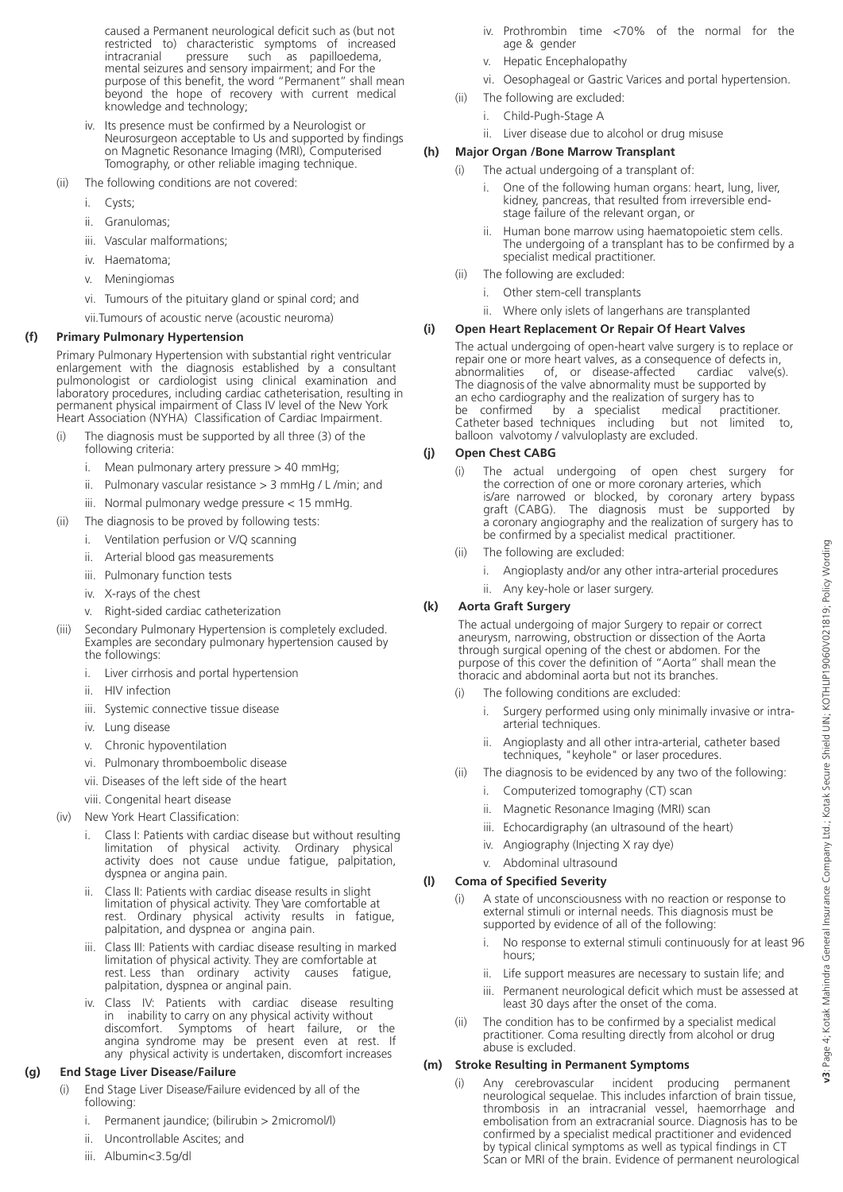caused a Permanent neurological deficit such as (but not restricted to) characteristic symptoms of increased<br>intracranial pressure such as papilloedema, as papilloedema, mental seizures and sensory impairment; and For the purpose of this benefit, the word "Permanent" shall mean beyond the hope of recovery with current medical knowledge and technology;

- iv. Its presence must be confirmed by a Neurologist or Neurosurgeon acceptable to Us and supported by findings on Magnetic Resonance Imaging (MRI), Computerised Tomography, or other reliable imaging technique.
- (ii) The following conditions are not covered:
	- i. Cysts;
	- ii. Granulomas;
	- iii. Vascular malformations;
	- iv. Haematoma;
	- v. Meningiomas
	- vi. Tumours of the pituitary gland or spinal cord; and
	- vii.Tumours of acoustic nerve (acoustic neuroma)

#### **(f) Primary Pulmonary Hypertension**

Primary Pulmonary Hypertension with substantial right ventricular enlargement with the diagnosis established by a consultant pulmonologist or cardiologist using clinical examination and laboratory procedures, including cardiac catheterisation, resulting in permanent physical impairment of Class IV level of the New York Heart Association (NYHA) Classification of Cardiac Impairment.

- (i) The diagnosis must be supported by all three (3) of the following criteria:
	- i. Mean pulmonary artery pressure > 40 mmHg;
	- ii. Pulmonary vascular resistance  $>$  3 mmHg / L/min; and
	- iii. Normal pulmonary wedge pressure < 15 mmHg.
- (ii) The diagnosis to be proved by following tests:
	- i. Ventilation perfusion or V/Q scanning
		- ii. Arterial blood gas measurements
	- iii. Pulmonary function tests
	- iv. X-rays of the chest
	- v. Right-sided cardiac catheterization
- (iii) Secondary Pulmonary Hypertension is completely excluded. Examples are secondary pulmonary hypertension caused by the followings:
	- i. Liver cirrhosis and portal hypertension
	- ii. HIV infection
	- iii. Systemic connective tissue disease
	- iv. Lung disease
	- v. Chronic hypoventilation
	- vi. Pulmonary thromboembolic disease
	- vii. Diseases of the left side of the heart
	- viii. Congenital heart disease
- (iv) New York Heart Classification:
	- i. Class I: Patients with cardiac disease but without resulting limitation of physical activity. Ordinary physical activity does not cause undue fatigue, palpitation, dyspnea or angina pain.
	- ii. Class II: Patients with cardiac disease results in slight limitation of physical activity. They \are comfortable at rest. Ordinary physical activity results in fatigue, palpitation, and dyspnea or angina pain.
	- iii. Class III: Patients with cardiac disease resulting in marked limitation of physical activity. They are comfortable at rest. Less than ordinary activity palpitation, dyspnea or anginal pain.
	- iv. Class IV: Patients with cardiac disease resulting in inability to carry on any physical activity without<br>discomfort. Symptoms of heart failure. or Symptoms of heart failure, or the angina syndrome may be present even at rest. If any physical activity is undertaken, discomfort increases

#### **(g) End Stage Liver Disease/Failure**

- (i) End Stage Liver Disease/Failure evidenced by all of the following:
	- i. Permanent jaundice; (bilirubin > 2micromol/l)
	- ii. Uncontrollable Ascites; and
	- iii. Albumin<3.5g/dl
- iv. Prothrombin time <70% of the normal for the age & gender
- v. Hepatic Encephalopathy
- vi. Oesophageal or Gastric Varices and portal hypertension.
- (ii) The following are excluded:
	- i. Child-Pugh-Stage A
	- ii. Liver disease due to alcohol or drug misuse

#### **(h) Major Organ /Bone Marrow Transplant**

- (i) The actual undergoing of a transplant of:
	- One of the following human organs: heart, lung, liver, kidney, pancreas, that resulted from irreversible end stage failure of the relevant organ, or
	- ii. Human bone marrow using haematopoietic stem cells. The undergoing of a transplant has to be confirmed by a specialist medical practitioner.
- (ii) The following are excluded:
	- i. Other stem-cell transplants
	- ii. Where only islets of langerhans are transplanted

#### **(i) Open Heart Replacement Or Repair Of Heart Valves**

The actual undergoing of open-heart valve surgery is to replace or repair one or more heart valves, as a consequence of defects in,<br>abnormalities of, or disease-affected cardiac valve(s of, or disease-affected cardiac valve(s). The diagnosis of the valve abnormality must be supported by an echo cardiography and the realization of surgery has to<br>be confirmed by a specialist medical practitioner.  $\overset{\cdot}{\text{by}}$  a specialist medical practitioner.<br>echniques including but not limited to, Catheter based techniques including balloon valvotomy / valvuloplasty are excluded.

#### **(j) Open Chest CABG**

- (i) The actual undergoing of open chest surgery for the correction of one or more coronary arteries, which is/are narrowed or blocked, by coronary artery bypass<br>graft (CABG). The diagnosis must be supported by The diagnosis must be supported by a coronary angiography and the realization of surgery has to be confirmed by a specialist medical practitioner.
- (ii) The following are excluded:
	- i. Angioplasty and/or any other intra-arterial procedures
	- ii. Any key-hole or laser surgery.

#### **(k) Aorta Graft Surgery**

 The actual undergoing of major Surgery to repair or correct aneurysm, narrowing, obstruction or dissection of the Aorta through surgical opening of the chest or abdomen. For the purpose of this cover the definition of "Aorta" shall mean the thoracic and abdominal aorta but not its branches.

- (i) The following conditions are excluded:
	- i. Surgery performed using only minimally invasive or intra arterial techniques.
	- ii. Angioplasty and all other intra-arterial, catheter based techniques, "keyhole" or laser procedures.
- (ii) The diagnosis to be evidenced by any two of the following:
	- i. Computerized tomography (CT) scan
	- ii. Magnetic Resonance Imaging (MRI) scan
	- iii. Echocardigraphy (an ultrasound of the heart)
	- iv. Angiography (Injecting X ray dye)
	- v. Abdominal ultrasound

#### **(l) Coma of Specified Severity**

- (i) A state of unconsciousness with no reaction or response to external stimuli or internal needs. This diagnosis must be supported by evidence of all of the following:
	- i. No response to external stimuli continuously for at least 96 hours;
	- ii. Life support measures are necessary to sustain life; and
	- iii. Permanent neurological deficit which must be assessed at least 30 days after the onset of the coma.
- (ii) The condition has to be confirmed by a specialist medical practitioner. Coma resulting directly from alcohol or drug abuse is excluded.

#### **(m) Stroke Resulting in Permanent Symptoms**

(i) Any cerebrovascular incident producing permanent neurological sequelae. This includes infarction of brain tissue, thrombosis in an intracranial vessel, haemorrhage and embolisation from an extracranial source. Diagnosis has to be confirmed by a specialist medical practitioner and evidenced by typical clinical symptoms as well as typical findings in CT Scan or MRI of the brain. Evidence of permanent neurological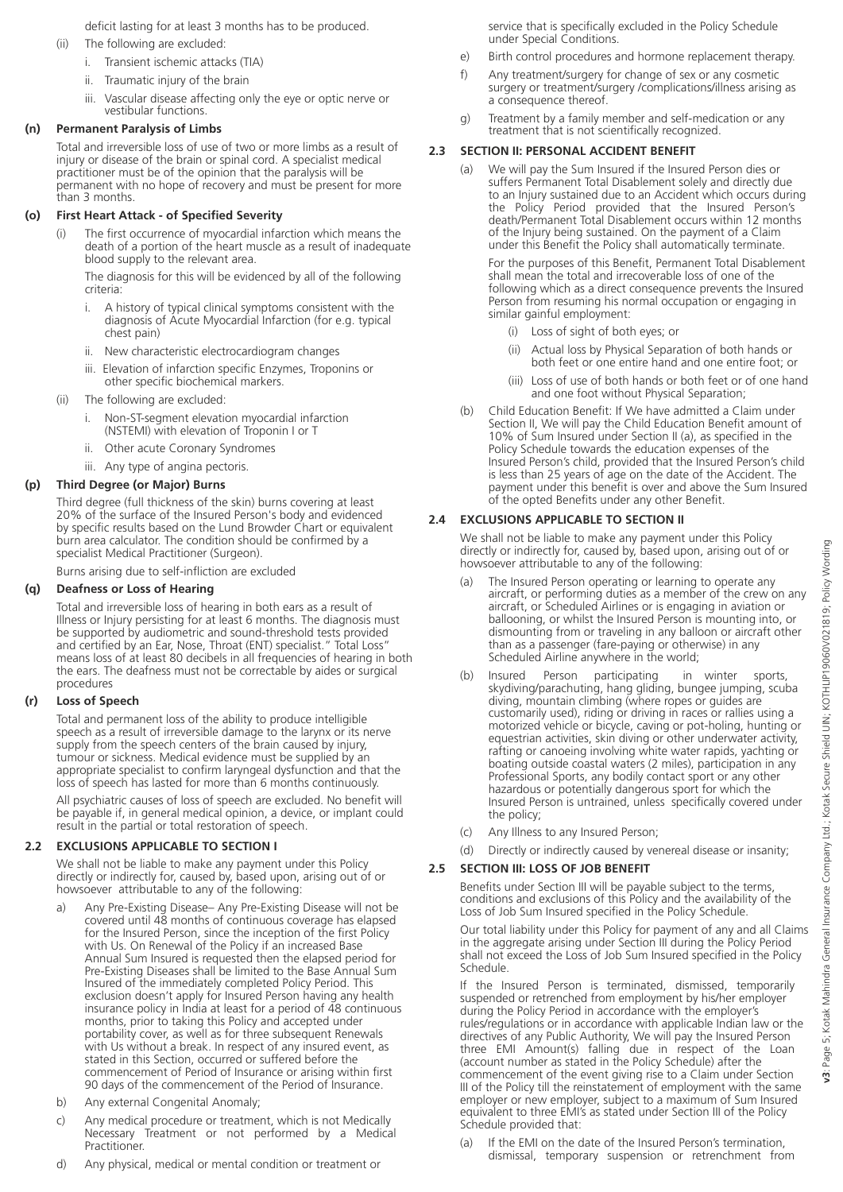deficit lasting for at least 3 months has to be produced.

- (ii) The following are excluded:
	- i. Transient ischemic attacks (TIA)
	- ii. Traumatic injury of the brain
	- iii. Vascular disease affecting only the eye or optic nerve or vestibular functions.

#### **(n) Permanent Paralysis of Limbs**

Total and irreversible loss of use of two or more limbs as a result of injury or disease of the brain or spinal cord. A specialist medical practitioner must be of the opinion that the paralysis will be permanent with no hope of recovery and must be present for more than 3 months.

#### **(o) First Heart Attack - of Specified Severity**

(i) The first occurrence of myocardial infarction which means the death of a portion of the heart muscle as a result of inadequate blood supply to the relevant area.

 The diagnosis for this will be evidenced by all of the following criteria:

- i. A history of typical clinical symptoms consistent with the diagnosis of Acute Myocardial Infarction (for e.g. typical chest pain)
- ii. New characteristic electrocardiogram changes
- iii. Elevation of infarction specific Enzymes, Troponins or other specific biochemical markers.
- (ii) The following are excluded:
	- i. Non-ST-segment elevation myocardial infarction (NSTEMI) with elevation of Troponin I or T
	- ii. Other acute Coronary Syndromes
	- iii. Any type of angina pectoris.

#### **(p) Third Degree (or Major) Burns**

Third degree (full thickness of the skin) burns covering at least 20% of the surface of the Insured Person's body and evidenced by specific results based on the Lund Browder Chart or equivalent burn area calculator. The condition should be confirmed by a specialist Medical Practitioner (Surgeon).

Burns arising due to self-infliction are excluded

#### **(q) Deafness or Loss of Hearing**

Total and irreversible loss of hearing in both ears as a result of Illness or Injury persisting for at least 6 months. The diagnosis must be supported by audiometric and sound-threshold tests provided and certified by an Ear, Nose, Throat (ENT) specialist." Total Loss" means loss of at least 80 decibels in all frequencies of hearing in both the ears. The deafness must not be correctable by aides or surgical procedures

#### **(r) Loss of Speech**

Total and permanent loss of the ability to produce intelligible speech as a result of irreversible damage to the larynx or its nerve supply from the speech centers of the brain caused by injury, tumour or sickness. Medical evidence must be supplied by an appropriate specialist to confirm laryngeal dysfunction and that the loss of speech has lasted for more than 6 months continuously.

All psychiatric causes of loss of speech are excluded. No benefit will be payable if, in general medical opinion, a device, or implant could result in the partial or total restoration of speech.

#### **2.2 EXCLUSIONS APPLICABLE TO SECTION I**

We shall not be liable to make any payment under this Policy directly or indirectly for, caused by, based upon, arising out of or howsoever attributable to any of the following:

- a) Any Pre-Existing Disease– Any Pre-Existing Disease will not be covered until 48 months of continuous coverage has elapsed for the Insured Person, since the inception of the first Policy with Us. On Renewal of the Policy if an increased Base Annual Sum Insured is requested then the elapsed period for Pre-Existing Diseases shall be limited to the Base Annual Sum Insured of the immediately completed Policy Period. This exclusion doesn't apply for Insured Person having any health insurance policy in India at least for a period of 48 continuous months, prior to taking this Policy and accepted under portability cover, as well as for three subsequent Renewals with Us without a break. In respect of any insured event, as stated in this Section, occurred or suffered before the commencement of Period of Insurance or arising within first 90 days of the commencement of the Period of Insurance.
- b) Any external Congenital Anomaly;
- c) Any medical procedure or treatment, which is not Medically Necessary Treatment or not performed by a Medical Practitioner.
- d) Any physical, medical or mental condition or treatment or

 service that is specifically excluded in the Policy Schedule under Special Conditions.

- e) Birth control procedures and hormone replacement therapy.
- f) Any treatment/surgery for change of sex or any cosmetic surgery or treatment/surgery /complications/illness arising as a consequence thereof.
- g) Treatment by a family member and self-medication or any treatment that is not scientifically recognized.

#### **2.3 SECTION II: PERSONAL ACCIDENT BENEFIT**

(a) We will pay the Sum Insured if the Insured Person dies or suffers Permanent Total Disablement solely and directly due to an Injury sustained due to an Accident which occurs during the Policy Period provided that the Insured Person's death/Permanent Total Disablement occurs within 12 months of the Injury being sustained. On the payment of a Claim under this Benefit the Policy shall automatically terminate.

 For the purposes of this Benefit, Permanent Total Disablement shall mean the total and irrecoverable loss of one of the following which as a direct consequence prevents the Insured Person from resuming his normal occupation or engaging in similar gainful employment:

- (i) Loss of sight of both eyes; or
- (ii) Actual loss by Physical Separation of both hands or both feet or one entire hand and one entire foot; or
	- (iii) Loss of use of both hands or both feet or of one hand and one foot without Physical Separation;
- (b) Child Education Benefit: If We have admitted a Claim under Section II, We will pay the Child Education Benefit amount of 10% of Sum Insured under Section II (a), as specified in the Policy Schedule towards the education expenses of the Insured Person's child, provided that the Insured Person's child is less than 25 years of age on the date of the Accident. The payment under this benefit is over and above the Sum Insured of the opted Benefits under any other Benefit.

#### **2.4 EXCLUSIONS APPLICABLE TO SECTION II**

We shall not be liable to make any payment under this Policy directly or indirectly for, caused by, based upon, arising out of or howsoever attributable to any of the following:

- (a) The Insured Person operating or learning to operate any aircraft, or performing duties as a member of the crew on any aircraft, or Scheduled Airlines or is engaging in aviation or ballooning, or whilst the Insured Person is mounting into, or dismounting from or traveling in any balloon or aircraft other than as a passenger (fare-paying or otherwise) in any Scheduled Airline anywhere in the world;
- (b) Insured Person participating in winter sports, skydiving/parachuting, hang gliding, bungee jumping, scuba diving, mountain climbing (where ropes or guides are customarily used), riding or driving in races or rallies using a motorized vehicle or bicycle, caving or pot-holing, hunting or equestrian activities, skin diving or other underwater activity, rafting or canoeing involving white water rapids, yachting or boating outside coastal waters (2 miles), participation in any Professional Sports, any bodily contact sport or any other hazardous or potentially dangerous sport for which the Insured Person is untrained, unless specifically covered under the policy;
- (c) Any Illness to any Insured Person;
- (d) Directly or indirectly caused by venereal disease or insanity;

#### **2.5 SECTION III: LOSS OF JOB BENEFIT**

Benefits under Section III will be payable subject to the terms, conditions and exclusions of this Policy and the availability of the Loss of Job Sum Insured specified in the Policy Schedule.

Our total liability under this Policy for payment of any and all Claims in the aggregate arising under Section III during the Policy Period shall not exceed the Loss of Job Sum Insured specified in the Policy Schedule.

If the Insured Person is terminated, dismissed, temporarily suspended or retrenched from employment by his/her employer during the Policy Period in accordance with the employer's rules/regulations or in accordance with applicable Indian law or the directives of any Public Authority, We will pay the Insured Person three EMI Amount(s) falling due in respect of the Loan (account number as stated in the Policy Schedule) after the commencement of the event giving rise to a Claim under Section III of the Policy till the reinstatement of employment with the same employer or new employer, subject to a maximum of Sum Insured equivalent to three EMI's as stated under Section III of the Policy Schedule provided that:

(a) If the EMI on the date of the Insured Person's termination, dismissal, temporary suspension or retrenchment from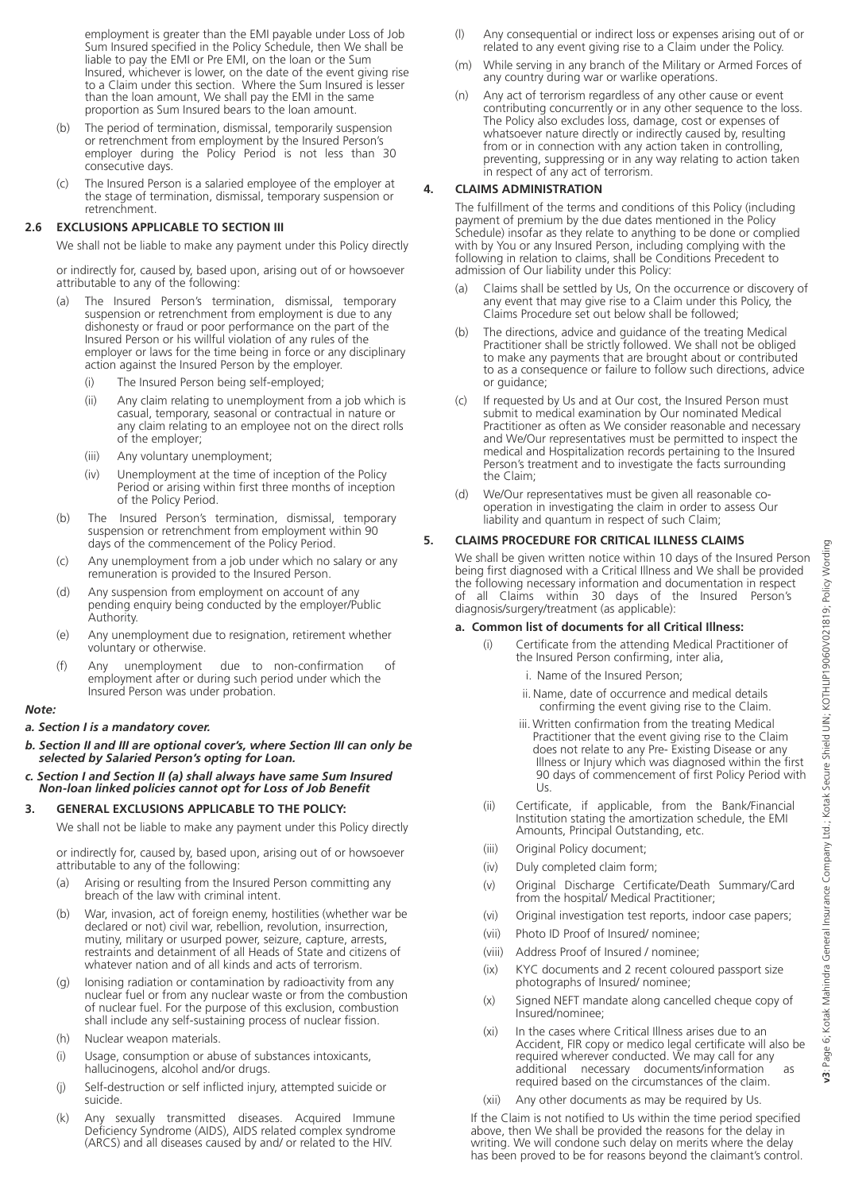employment is greater than the EMI payable under Loss of Job Sum Insured specified in the Policy Schedule, then We shall be liable to pay the EMI or Pre EMI, on the loan or the Sum Insured, whichever is lower, on the date of the event giving rise to a Claim under this section. Where the Sum Insured is lesser than the loan amount, We shall pay the EMI in the same proportion as Sum Insured bears to the loan amount.

- (b) The period of termination, dismissal, temporarily suspension or retrenchment from employment by the Insured Person's employer during the Policy Period is not less than 30 consecutive days.
- (c) The Insured Person is a salaried employee of the employer at the stage of termination, dismissal, temporary suspension or retrenchment.

#### **2.6 EXCLUSIONS APPLICABLE TO SECTION III**

We shall not be liable to make any payment under this Policy directly

or indirectly for, caused by, based upon, arising out of or howsoever attributable to any of the following:

- (a) The Insured Person's termination, dismissal, temporary suspension or retrenchment from employment is due to any dishonesty or fraud or poor performance on the part of the Insured Person or his willful violation of any rules of the employer or laws for the time being in force or any disciplinary action against the Insured Person by the employer.
	- (i) The Insured Person being self-employed;
	- (ii) Any claim relating to unemployment from a job which is casual, temporary, seasonal or contractual in nature or any claim relating to an employee not on the direct rolls of the employer;
	- (iii) Any voluntary unemployment;
	- (iv) Unemployment at the time of inception of the Policy Period or arising within first three months of inception of the Policy Period.
- (b) The Insured Person's termination, dismissal, temporary suspension or retrenchment from employment within 90 days of the commencement of the Policy Period.
- (c) Any unemployment from a job under which no salary or any remuneration is provided to the Insured Person.
- (d) Any suspension from employment on account of any pending enquiry being conducted by the employer/Public Authority.
- (e) Any unemployment due to resignation, retirement whether voluntary or otherwise.
- (f) Any unemployment due to non-confirmation of employment after or during such period under which the Insured Person was under probation.

#### *Note:*

#### *a. Section I is a mandatory cover.*

- *b. Section II and III are optional cover's, where Section III can only be selected by Salaried Person's opting for Loan.*
- *c. Section I and Section II (a) shall always have same Sum Insured Non-loan linked policies cannot opt for Loss of Job Benefit*

#### **3. GENERAL EXCLUSIONS APPLICABLE TO THE POLICY:**

We shall not be liable to make any payment under this Policy directly

or indirectly for, caused by, based upon, arising out of or howsoever attributable to any of the following:

- (a) Arising or resulting from the Insured Person committing any breach of the law with criminal intent.
- (b) War, invasion, act of foreign enemy, hostilities (whether war be declared or not) civil war, rebellion, revolution, insurrection, mutiny, military or usurped power, seizure, capture, arrests, restraints and detainment of all Heads of State and citizens of whatever nation and of all kinds and acts of terrorism.
- (g) Ionising radiation or contamination by radioactivity from any nuclear fuel or from any nuclear waste or from the combustion of nuclear fuel. For the purpose of this exclusion, combustion shall include any self-sustaining process of nuclear fission.
- (h) Nuclear weapon materials.
- (i) Usage, consumption or abuse of substances intoxicants, hallucinogens, alcohol and/or drugs.
- (j) Self-destruction or self inflicted injury, attempted suicide or suicide.
- (k) Any sexually transmitted diseases. Acquired Immune Deficiency Syndrome (AIDS), AIDS related complex syndrome (ARCS) and all diseases caused by and/ or related to the HIV.
- (l) Any consequential or indirect loss or expenses arising out of or related to any event giving rise to a Claim under the Policy.
- (m) While serving in any branch of the Military or Armed Forces of any country during war or warlike operations.
- (n) Any act of terrorism regardless of any other cause or event contributing concurrently or in any other sequence to the loss. The Policy also excludes loss, damage, cost or expenses of whatsoever nature directly or indirectly caused by, resulting from or in connection with any action taken in controlling, preventing, suppressing or in any way relating to action taken in respect of any act of terrorism.

#### **4. CLAIMS ADMINISTRATION**

The fulfillment of the terms and conditions of this Policy (including payment of premium by the due dates mentioned in the Policy Schedule) insofar as they relate to anything to be done or complied with by You or any Insured Person, including complying with the following in relation to claims, shall be Conditions Precedent to admission of Our liability under this Policy:

- (a) Claims shall be settled by Us, On the occurrence or discovery of any event that may give rise to a Claim under this Policy, the Claims Procedure set out below shall be followed;
- (b) The directions, advice and guidance of the treating Medical Practitioner shall be strictly followed. We shall not be obliged to make any payments that are brought about or contributed to as a consequence or failure to follow such directions, advice or guidance;
- (c) If requested by Us and at Our cost, the Insured Person must submit to medical examination by Our nominated Medical Practitioner as often as We consider reasonable and necessary and We/Our representatives must be permitted to inspect the medical and Hospitalization records pertaining to the Insured Person's treatment and to investigate the facts surrounding the Claim;
- (d) We/Our representatives must be given all reasonable co operation in investigating the claim in order to assess Our liability and quantum in respect of such Claim;

#### **5. CLAIMS PROCEDURE FOR CRITICAL ILLNESS CLAIMS**

We shall be given written notice within 10 days of the Insured Person being first diagnosed with a Critical Illness and We shall be provided the following necessary information and documentation in respect of all Claims within 30 days of the Insured Person's diagnosis/surgery/treatment (as applicable):

#### **a. Common list of documents for all Critical Illness:**

- Certificate from the attending Medical Practitioner of the Insured Person confirming, inter alia,
	- i. Name of the Insured Person;
	- ii. Name, date of occurrence and medical details confirming the event giving rise to the Claim.
	- iii. Written confirmation from the treating Medical Practitioner that the event giving rise to the Claim does not relate to any Pre- Existing Disease or any Illness or Injury which was diagnosed within the first 90 days of commencement of first Policy Period with Us.
- (ii) Certificate, if applicable, from the Bank/Financial Institution stating the amortization schedule, the EMI Amounts, Principal Outstanding, etc.
- (iii) Original Policy document;
- (iv) Duly completed claim form;
- (v) Original Discharge Certificate/Death Summary/Card from the hospital/ Medical Practitioner;
- (vi) Original investigation test reports, indoor case papers;
- (vii) Photo ID Proof of Insured/ nominee;
- (viii) Address Proof of Insured / nominee;
- (ix) KYC documents and 2 recent coloured passport size photographs of Insured/ nominee;
- (x) Signed NEFT mandate along cancelled cheque copy of Insured/nominee;
- (xi) In the cases where Critical Illness arises due to an Accident, FIR copy or medico legal certificate will also be required wherever conducted. We may call for any additional necessary documents/information as required based on the circumstances of the claim.
- (xii) Any other documents as may be required by Us.

 If the Claim is not notified to Us within the time period specified above, then We shall be provided the reasons for the delay in writing. We will condone such delay on merits where the delay has been proved to be for reasons beyond the claimant's control.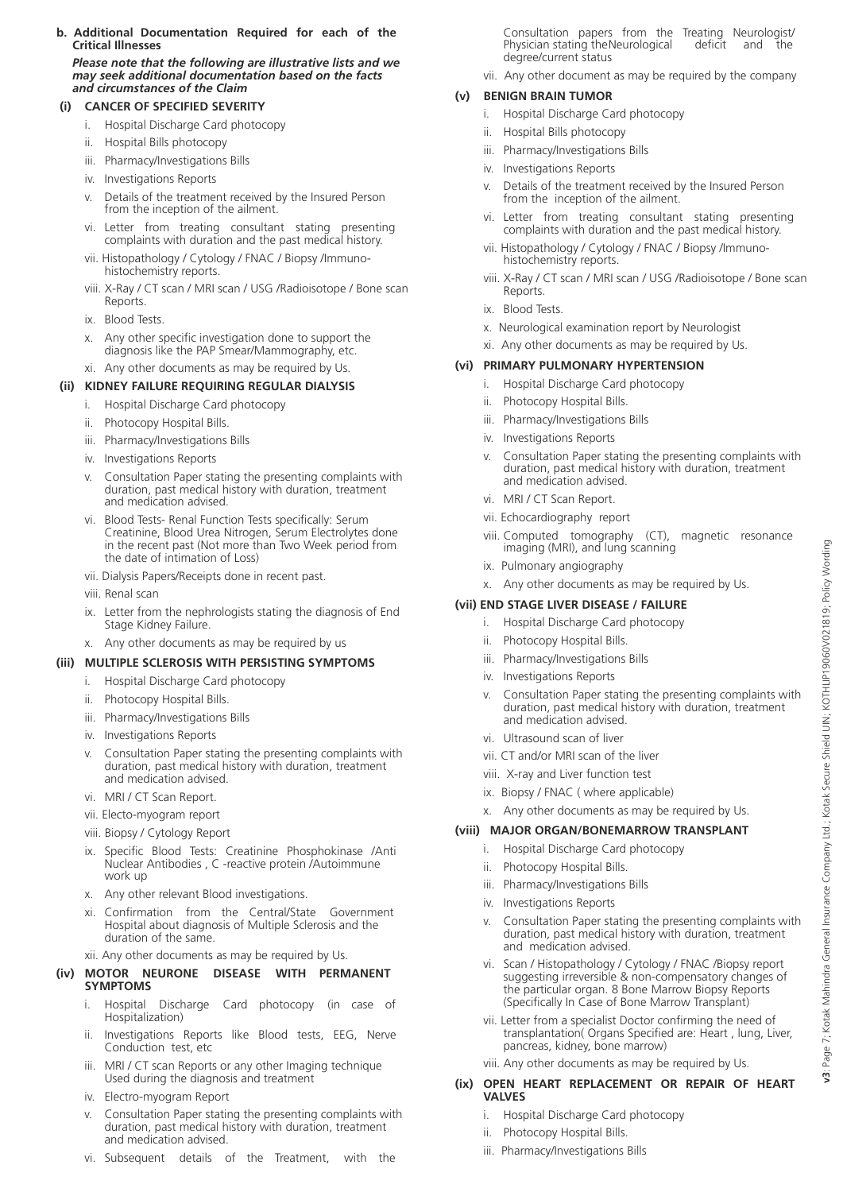#### **b. Additional Documentation Required for each of the** **Critical Illnesses**

 *Please note that the following are illustrative lists and we may seek additional documentation based on the facts and circumstances of the Claim* 

#### **(i) CANCER OF SPECIFIED SEVERITY**

- i. Hospital Discharge Card photocopy
- ii. Hospital Bills photocopy
- iii. Pharmacy/Investigations Bills
- iv. Investigations Reports
- v. Details of the treatment received by the Insured Person from the inception of the ailment.
- vi. Letter from treating consultant stating presenting complaints with duration and the past medical history.
- vii. Histopathology / Cytology / FNAC / Biopsy /Immuno histochemistry reports.
- viii. X-Ray / CT scan / MRI scan / USG /Radioisotope / Bone scan Reports.
- ix. Blood Tests.
- x. Any other specific investigation done to support the diagnosis like the PAP Smear/Mammography, etc.

#### xi. Any other documents as may be required by Us.  **(ii) KIDNEY FAILURE REQUIRING REGULAR DIALYSIS**

- i. Hospital Discharge Card photocopy
- ii. Photocopy Hospital Bills.
- iii. Pharmacy/Investigations Bills
- iv. Investigations Reports
- v. Consultation Paper stating the presenting complaints with duration, past medical history with duration, treatment and medication advised.
- vi. Blood Tests- Renal Function Tests specifically: Serum Creatinine, Blood Urea Nitrogen, Serum Electrolytes done in the recent past (Not more than Two Week period from the date of intimation of Loss)
- vii. Dialysis Papers/Receipts done in recent past.
- viii. Renal scan
- ix. Letter from the nephrologists stating the diagnosis of End Stage Kidney Failure.
- x. Any other documents as may be required by us

#### **(iii) MULTIPLE SCLEROSIS WITH PERSISTING SYMPTOMS**

- i. Hospital Discharge Card photocopy
- ii. Photocopy Hospital Bills.
- iii. Pharmacy/Investigations Bills
- iv. Investigations Reports
- Consultation Paper stating the presenting complaints with duration, past medical history with duration, treatment and medication advised.
- vi. MRI / CT Scan Report.
- vii. Electo-myogram report
- viii. Biopsy / Cytology Report
- ix. Specific Blood Tests: Creatinine Phosphokinase /Anti Nuclear Antibodies , C -reactive protein /Autoimmune work up
- x. Any other relevant Blood investigations.
- xi. Confirmation from the Central/State Government Hospital about diagnosis of Multiple Sclerosis and the duration of the same.
	- xii. Any other documents as may be required by Us.

#### **(iv) MOTOR NEURONE DISEASE WITH PERMANENT SYMPTOMS**

- i. Hospital Discharge Card photocopy (in case of Hospitalization)
- ii. Investigations Reports like Blood tests, EEG, Nerve Conduction test, etc
- iii. MRI / CT scan Reports or any other Imaging technique Used during the diagnosis and treatment
- iv. Electro-myogram Report
- v. Consultation Paper stating the presenting complaints with duration, past medical history with duration, treatment and medication advised.
- vi. Subsequent details of the Treatment, with the

 Consultation papers from the Treating Neurologist/ Physician stating the Neurological deficit and the degree/current status

vii. Any other document as may be required by the company

#### **(v) BENIGN BRAIN TUMOR**

- i. Hospital Discharge Card photocopy
- ii. Hospital Bills photocopy
- iii. Pharmacy/Investigations Bills
- iv. Investigations Reports
- v. Details of the treatment received by the Insured Person from the inception of the ailment.
- vi. Letter from treating consultant stating presenting complaints with duration and the past medical history.
- vii. Histopathology / Cytology / FNAC / Biopsy /Immuno histochemistry reports.
- viii. X-Ray / CT scan / MRI scan / USG /Radioisotope / Bone scan Reports.
- ix. Blood Tests.
- x. Neurological examination report by Neurologist
- xi. Any other documents as may be required by Us.

#### **(vi) PRIMARY PULMONARY HYPERTENSION**

- i. Hospital Discharge Card photocopy
- ii. Photocopy Hospital Bills.
- iii. Pharmacy/Investigations Bills
- iv. Investigations Reports
- v. Consultation Paper stating the presenting complaints with duration, past medical history with duration, treatment and medication advised.
- vi. MRI / CT Scan Report.
- vii. Echocardiography report
- viii. Computed tomography (CT), magnetic resonance imaging (MRI), and lung scanning
- ix. Pulmonary angiography
- x. Any other documents as may be required by Us.

#### **(vii) END STAGE LIVER DISEASE / FAILURE**

- i. Hospital Discharge Card photocopy
- ii. Photocopy Hospital Bills.
- iii. Pharmacy/Investigations Bills
- iv. Investigations Reports
- v. Consultation Paper stating the presenting complaints with duration, past medical history with duration, treatment and medication advised.
	- vi. Ultrasound scan of liver
	- vii. CT and/or MRI scan of the liver
	- viii. X-ray and Liver function test
	- ix. Biopsy / FNAC ( where applicable)
	- x. Any other documents as may be required by Us.

#### **(viii) MAJOR ORGAN/BONEMARROW TRANSPLANT**

- i. Hospital Discharge Card photocopy
- ii. Photocopy Hospital Bills.
- iii. Pharmacy/Investigations Bills
- iv. Investigations Reports
- v. Consultation Paper stating the presenting complaints with duration, past medical history with duration, treatment and medication advised.
- vi. Scan / Histopathology / Cytology / FNAC /Biopsy report suggesting irreversible & non-compensatory changes of the particular organ. 8 Bone Marrow Biopsy Reports (Specifically In Case of Bone Marrow Transplant)
- vii. Letter from a specialist Doctor confirming the need of transplantation( Organs Specified are: Heart , lung, Liver, pancreas, kidney, bone marrow)
- viii. Any other documents as may be required by Us.

#### **(ix) OPEN HEART REPLACEMENT OR REPAIR OF HEART VALVES**

- i. Hospital Discharge Card photocopy
- ii. Photocopy Hospital Bills.
- iii. Pharmacy/Investigations Bills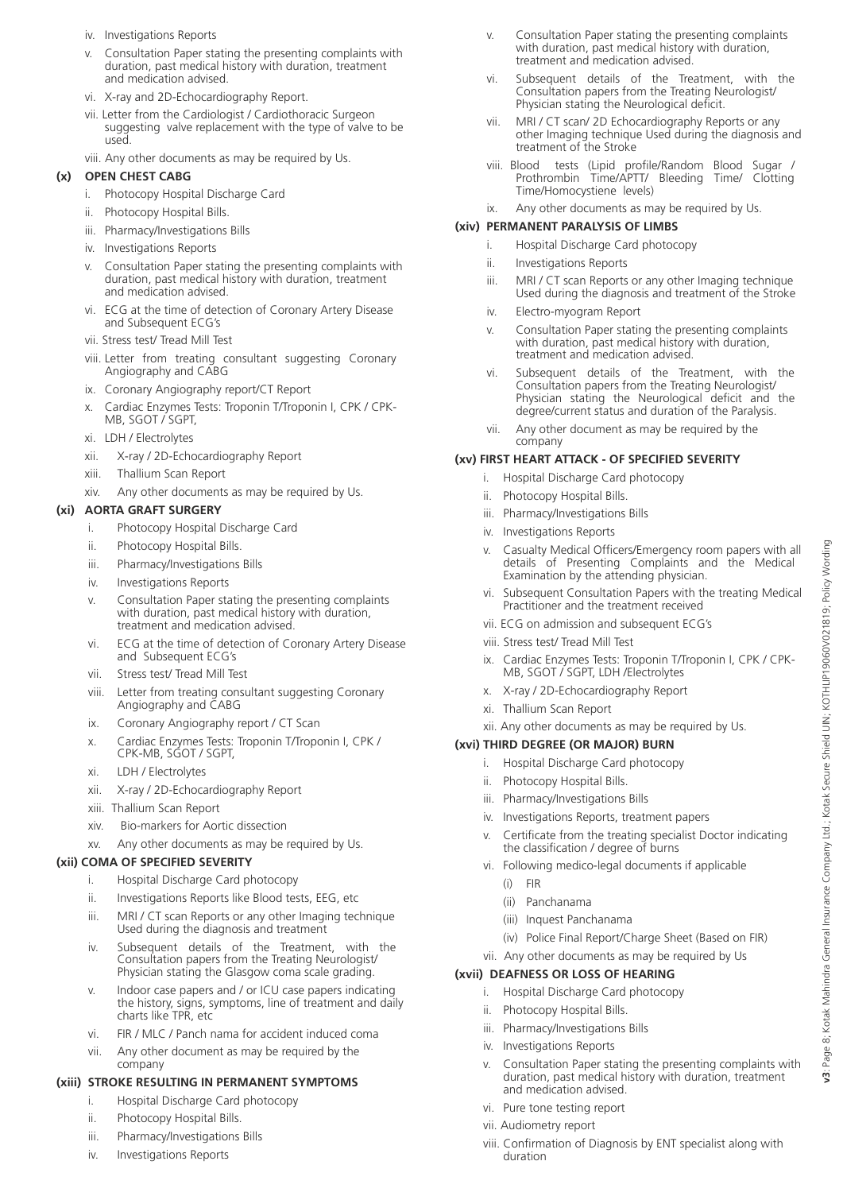- iv. Investigations Reports
- v. Consultation Paper stating the presenting complaints with duration, past medical history with duration, treatment and medication advised.
- vi. X-ray and 2D-Echocardiography Report.
- vii. Letter from the Cardiologist / Cardiothoracic Surgeon suggesting valve replacement with the type of valve to be used.
- viii. Any other documents as may be required by Us.

#### **(x) OPEN CHEST CABG**

- i. Photocopy Hospital Discharge Card
- ii. Photocopy Hospital Bills.
- iii. Pharmacy/Investigations Bills
- iv. Investigations Reports
- v. Consultation Paper stating the presenting complaints with duration, past medical history with duration, treatment and medication advised.
- vi. ECG at the time of detection of Coronary Artery Disease and Subsequent ECG's
- vii. Stress test/ Tread Mill Test
- viii. Letter from treating consultant suggesting Coronary Angiography and CABG
- ix. Coronary Angiography report/CT Report
- x. Cardiac Enzymes Tests: Troponin T/Troponin I, CPK / CPK- MB, SGOT / SGPT,
- xi. LDH / Electrolytes
- xii. X-ray / 2D-Echocardiography Report
- xiii. Thallium Scan Report
- xiv. Any other documents as may be required by Us.

#### **(xi) AORTA GRAFT SURGERY**

- i. Photocopy Hospital Discharge Card
- ii. Photocopy Hospital Bills.
- iii. Pharmacy/Investigations Bills
- iv. Investigations Reports
- v. Consultation Paper stating the presenting complaints with duration, past medical history with duration, treatment and medication advised.
- vi. ECG at the time of detection of Coronary Artery Disease and Subsequent ECG's
- vii. Stress test/ Tread Mill Test
- viii. Letter from treating consultant suggesting Coronary Angiography and CABG
	- ix. Coronary Angiography report / CT Scan
	- x. Cardiac Enzymes Tests: Troponin T/Troponin I, CPK / CPK-MB, SGOT / SGPT,
	- xi. LDH / Electrolytes
	- xii. X-ray / 2D-Echocardiography Report
	- xiii. Thallium Scan Report
	- xiv. Bio-markers for Aortic dissection
	- xv. Any other documents as may be required by Us.

#### **(xii) COMA OF SPECIFIED SEVERITY**

- i. Hospital Discharge Card photocopy
- ii. Investigations Reports like Blood tests, EEG, etc
- iii. MRI / CT scan Reports or any other Imaging technique Used during the diagnosis and treatment
- iv. Subsequent details of the Treatment, with the Consultation papers from the Treating Neurologist/ Physician stating the Glasgow coma scale grading.
- v. Indoor case papers and / or ICU case papers indicating the history, signs, symptoms, line of treatment and daily charts like TPR, etc
- vi. FIR / MLC / Panch nama for accident induced coma
- vii. Any other document as may be required by the company

#### **(xiii) STROKE RESULTING IN PERMANENT SYMPTOMS**

- i. Hospital Discharge Card photocopy
- ii. Photocopy Hospital Bills.
- iii. Pharmacy/Investigations Bills
- iv. Investigations Reports
- v. Consultation Paper stating the presenting complaints with duration, past medical history with duration, treatment and medication advised.
- vi. Subsequent details of the Treatment, with the Consultation papers from the Treating Neurologist/ Physician stating the Neurological deficit.
- vii. MRI / CT scan/ 2D Echocardiography Reports or any other Imaging technique Used during the diagnosis and treatment of the Stroke
- viii. Blood tests (Lipid profile/Random Blood Sugar / Prothrombin Time/APTT/ Bleeding Time/ Clotting Time/Homocystiene levels)
- ix. Any other documents as may be required by Us.

#### **(xiv) PERMANENT PARALYSIS OF LIMBS**

- i. Hospital Discharge Card photocopy
- ii. Investigations Reports
- iii. MRI / CT scan Reports or any other Imaging technique Used during the diagnosis and treatment of the Stroke
- iv. Electro-myogram Report
- v. Consultation Paper stating the presenting complaints with duration, past medical history with duration, treatment and medication advised.
	- vi. Subsequent details of the Treatment, with the Consultation papers from the Treating Neurologist/ Physician stating the Neurological deficit and the degree/current status and duration of the Paralysis.
	- vii. Any other document as may be required by the company

#### **(xv) FIRST HEART ATTACK - OF SPECIFIED SEVERITY**

- i. Hospital Discharge Card photocopy
- ii. Photocopy Hospital Bills.
- iii. Pharmacy/Investigations Bills
- iv. Investigations Reports
- v. Casualty Medical Officers/Emergency room papers with all details of Presenting Complaints and the Medical Examination by the attending physician.
- vi. Subsequent Consultation Papers with the treating Medical Practitioner and the treatment received
- vii. ECG on admission and subsequent ECG's
- viii. Stress test/ Tread Mill Test
- ix. Cardiac Enzymes Tests: Troponin T/Troponin I, CPK / CPK- MB, SGOT / SGPT, LDH /Electrolytes
- x. X-ray / 2D-Echocardiography Report
- xi. Thallium Scan Report
- xii. Any other documents as may be required by Us.

#### **(xvi) THIRD DEGREE (OR MAJOR) BURN**

- i. Hospital Discharge Card photocopy
- ii. Photocopy Hospital Bills.
- iii. Pharmacy/Investigations Bills
- iv. Investigations Reports, treatment papers
- v. Certificate from the treating specialist Doctor indicating the classification / degree of burns
- vi. Following medico-legal documents if applicable
	- (i) FIR
	- (ii) Panchanama
	- (iii) Inquest Panchanama
	- (iv) Police Final Report/Charge Sheet (Based on FIR)
- vii. Any other documents as may be required by Us

#### **(xvii) DEAFNESS OR LOSS OF HEARING**

- i. Hospital Discharge Card photocopy
- ii. Photocopy Hospital Bills.
- iii. Pharmacy/Investigations Bills
- iv. Investigations Reports
- v. Consultation Paper stating the presenting complaints with duration, past medical history with duration, treatment and medication advised.
- vi. Pure tone testing report
- vii. Audiometry report
- viii. Confirmation of Diagnosis by ENT specialist along with duration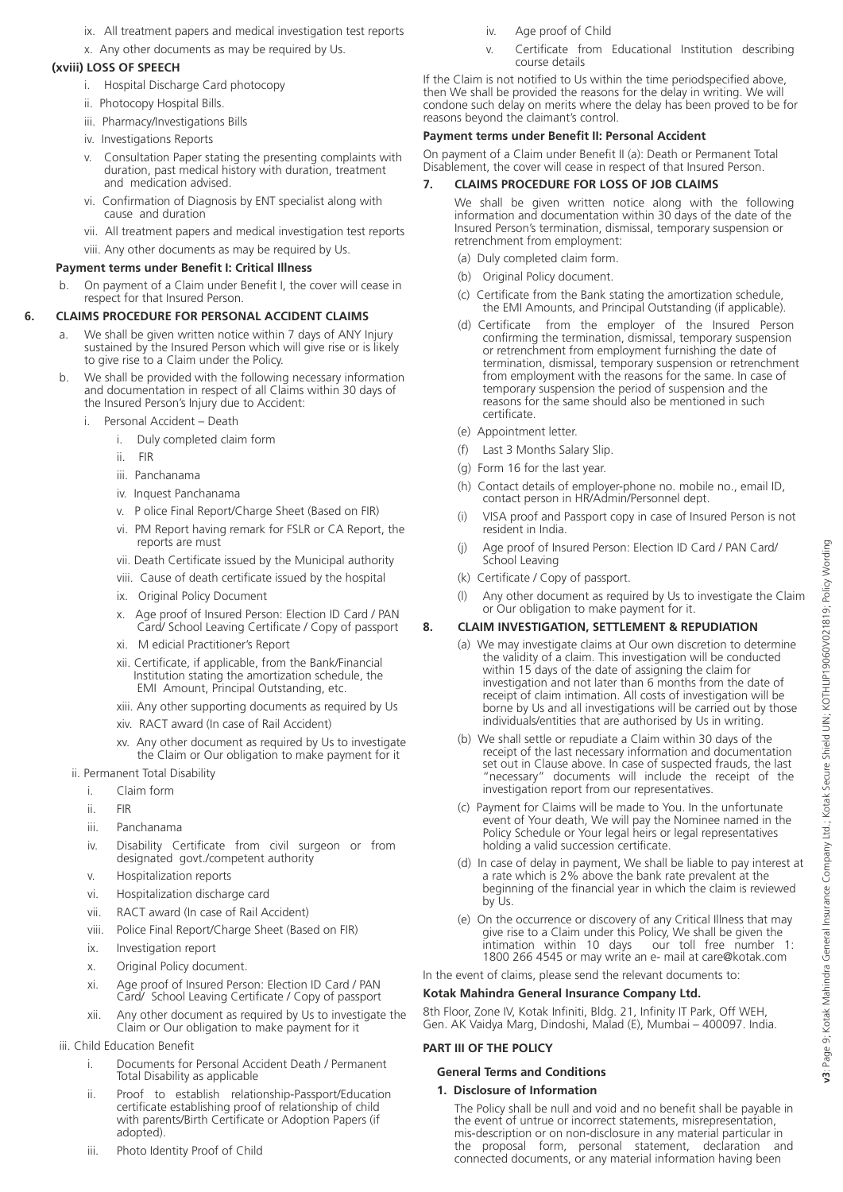- ix. All treatment papers and medical investigation test reports
- x. Any other documents as may be required by Us.

## **(xviii) LOSS OF SPEECH**

- i. Hospital Discharge Card photocopy
- ii. Photocopy Hospital Bills.
- iii. Pharmacy/Investigations Bills
- iv. Investigations Reports
- v. Consultation Paper stating the presenting complaints with duration, past medical history with duration, treatment and medication advised.
- vi. Confirmation of Diagnosis by ENT specialist along with cause and duration
- vii. All treatment papers and medical investigation test reports
- viii. Any other documents as may be required by Us.

## **Payment terms under Benefit I: Critical Illness**

 b. On payment of a Claim under Benefit I, the cover will cease in respect for that Insured Person.

## **6. CLAIMS PROCEDURE FOR PERSONAL ACCIDENT CLAIMS**

- a. We shall be given written notice within 7 days of ANY Injury sustained by the Insured Person which will give rise or is likely to give rise to a Claim under the Policy.
- b. We shall be provided with the following necessary information and documentation in respect of all Claims within 30 days of the Insured Person's Injury due to Accident:
	- i. Personal Accident Death
		- i. Duly completed claim form
		- ii. FIR
		- iii. Panchanama
		- iv. Inquest Panchanama
		- v. P olice Final Report/Charge Sheet (Based on FIR)
		- vi. PM Report having remark for FSLR or CA Report, the reports are must
		- vii. Death Certificate issued by the Municipal authority
		- viii. Cause of death certificate issued by the hospital
		- ix. Original Policy Document
		- Age proof of Insured Person: Election ID Card / PAN Card/ School Leaving Certificate / Copy of passport
		- xi. M edicial Practitioner's Report
		- xii. Certificate, if applicable, from the Bank/Financial Institution stating the amortization schedule, the EMI Amount, Principal Outstanding, etc.
		- xiii. Any other supporting documents as required by Us
		- xiv. RACT award (In case of Rail Accident)
		- xv. Any other document as required by Us to investigate the Claim or Our obligation to make payment for it
	- ii. Permanent Total Disability
		- i. Claim form
		- ii. FIR
		- iii. Panchanama
		- iv. Disability Certificate from civil surgeon or from designated govt./competent authority
		- v. Hospitalization reports
		- vi. Hospitalization discharge card
		- vii. RACT award (In case of Rail Accident)
		- viii. Police Final Report/Charge Sheet (Based on FIR)
		- ix. Investigation report
		- x. Original Policy document.
		- xi. Age proof of Insured Person: Election ID Card / PAN Card/ School Leaving Certificate / Copy of passport
		- xii. Any other document as required by Us to investigate the Claim or Our obligation to make payment for it

## iii. Child Education Benefit

- i. Documents for Personal Accident Death / Permanent Total Disability as applicable
- ii. Proof to establish relationship-Passport/Education certificate establishing proof of relationship of child with parents/Birth Certificate or Adoption Papers (if adopted).
- iii. Photo Identity Proof of Child
- iv. Age proof of Child
- v. Certificate from Educational Institution describing course details

If the Claim is not notified to Us within the time periodspecified above, then We shall be provided the reasons for the delay in writing. We will condone such delay on merits where the delay has been proved to be for reasons beyond the claimant's control.

## **Payment terms under Benefit II: Personal Accident**

On payment of a Claim under Benefit II (a): Death or Permanent Total Disablement, the cover will cease in respect of that Insured Person.

## **7. CLAIMS PROCEDURE FOR LOSS OF JOB CLAIMS**

We shall be given written notice along with the following information and documentation within 30 days of the date of the Insured Person's termination, dismissal, temporary suspension or retrenchment from employment:

- (a) Duly completed claim form.
- (b) Original Policy document.
- (c) Certificate from the Bank stating the amortization schedule, the EMI Amounts, and Principal Outstanding (if applicable).
- (d) Certificate from the employer of the Insured Person confirming the termination, dismissal, temporary suspension or retrenchment from employment furnishing the date of termination, dismissal, temporary suspension or retrenchment from employment with the reasons for the same. In case of temporary suspension the period of suspension and the reasons for the same should also be mentioned in such certificate.
- (e) Appointment letter.
- (f) Last 3 Months Salary Slip.
- (g) Form 16 for the last year.
- (h) Contact details of employer-phone no. mobile no., email ID, contact person in HR/Admin/Personnel dept.
- (i) VISA proof and Passport copy in case of Insured Person is not resident in India.
- (j) Age proof of Insured Person: Election ID Card / PAN Card/ School Leaving
- (k) Certificate / Copy of passport.
- (l) Any other document as required by Us to investigate the Claim or Our obligation to make payment for it.

## **8. CLAIM INVESTIGATION, SETTLEMENT & REPUDIATION**

- (a) We may investigate claims at Our own discretion to determine the validity of a claim. This investigation will be conducted within 15 days of the date of assigning the claim for investigation and not later than 6 months from the date of receipt of claim intimation. All costs of investigation will be borne by Us and all investigations will be carried out by those individuals/entities that are authorised by Us in writing.
- (b) We shall settle or repudiate a Claim within 30 days of the receipt of the last necessary information and documentation set out in Clause above. In case of suspected frauds, the last "necessary" documents will include the receipt of the investigation report from our representatives.
- (c) Payment for Claims will be made to You. In the unfortunate event of Your death, We will pay the Nominee named in the Policy Schedule or Your legal heirs or legal representatives holding a valid succession certificate.
- (d) In case of delay in payment, We shall be liable to pay interest at a rate which is 2% above the bank rate prevalent at the beginning of the financial year in which the claim is reviewed by Us.
- (e) On the occurrence or discovery of any Critical Illness that may give rise to a Claim under this Policy, We shall be given the intimation within 10 days our toll free number 1: intimation within 10 days 1800 266 4545 or may write an e- mail at care@kotak.com

In the event of claims, please send the relevant documents to:

## **Kotak Mahindra General Insurance Company Ltd.**

8th Floor, Zone IV, Kotak Infiniti, Bldg. 21, Infinity IT Park, Off WEH, Gen. AK Vaidya Marg, Dindoshi, Malad (E), Mumbai – 400097. India.

## **PART III OF THE POLICY**

## **General Terms and Conditions**

## **1. Disclosure of Information**

The Policy shall be null and void and no benefit shall be payable in the event of untrue or incorrect statements, misrepresentation, mis-description or on non-disclosure in any material particular in the proposal form, personal statement, declaration and connected documents, or any material information having been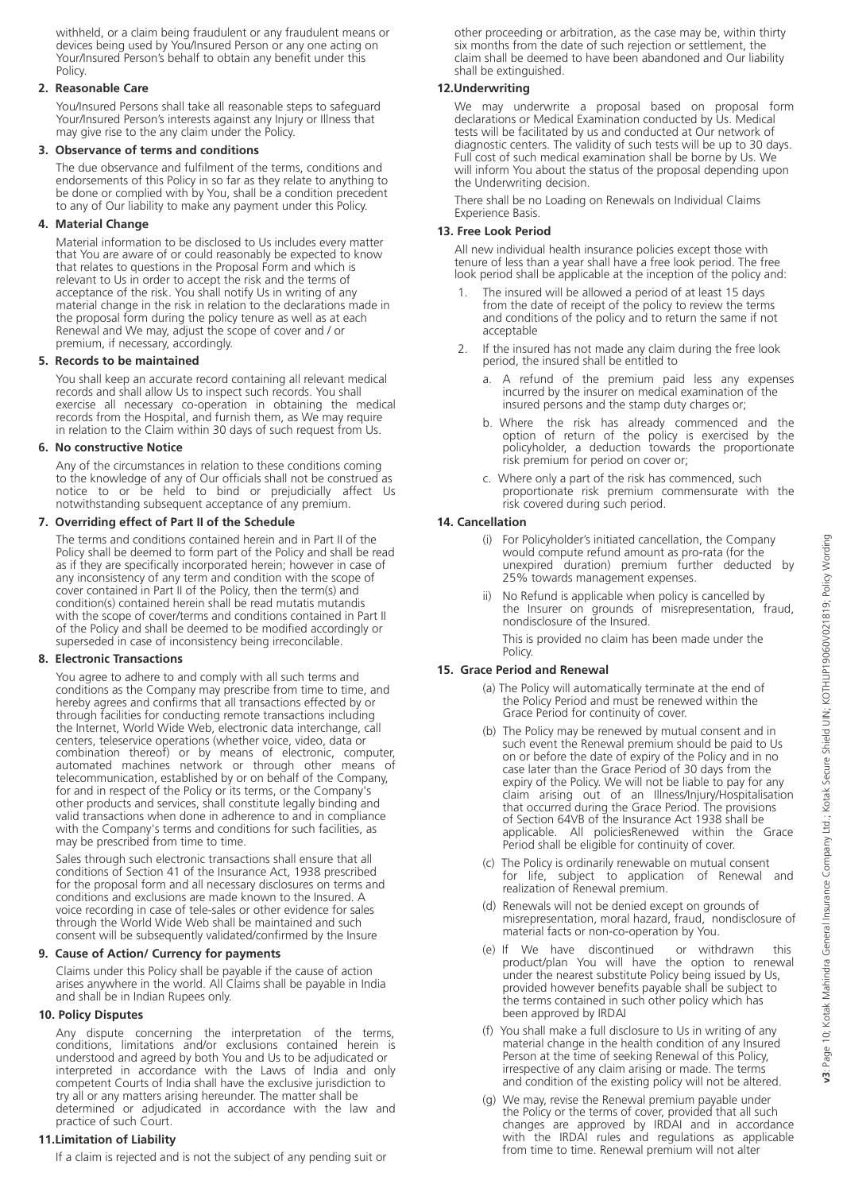withheld, or a claim being fraudulent or any fraudulent means or devices being used by You/Insured Person or any one acting on Your/Insured Person's behalf to obtain any benefit under this Policy.

#### **2. Reasonable Care**

You/Insured Persons shall take all reasonable steps to safeguard Your/Insured Person's interests against any Injury or Illness that may give rise to the any claim under the Policy.

#### **3. Observance of terms and conditions**

The due observance and fulfilment of the terms, conditions and endorsements of this Policy in so far as they relate to anything to be done or complied with by You, shall be a condition precedent to any of Our liability to make any payment under this Policy.

#### **4. Material Change**

Material information to be disclosed to Us includes every matter that You are aware of or could reasonably be expected to know that relates to questions in the Proposal Form and which is relevant to Us in order to accept the risk and the terms of acceptance of the risk. You shall notify Us in writing of any material change in the risk in relation to the declarations made in the proposal form during the policy tenure as well as at each Renewal and We may, adjust the scope of cover and / or premium, if necessary, accordingly.

#### **5. Records to be maintained**

You shall keep an accurate record containing all relevant medical records and shall allow Us to inspect such records. You shall exercise all necessary co-operation in obtaining the medical records from the Hospital, and furnish them, as We may require in relation to the Claim within 30 days of such request from Us.

#### **6. No constructive Notice**

Any of the circumstances in relation to these conditions coming to the knowledge of any of Our officials shall not be construed as notice to or be held to bind or prejudicially affect Us notwithstanding subsequent acceptance of any premium.

#### **7. Overriding effect of Part II of the Schedule**

The terms and conditions contained herein and in Part II of the Policy shall be deemed to form part of the Policy and shall be read as if they are specifically incorporated herein; however in case of any inconsistency of any term and condition with the scope of cover contained in Part II of the Policy, then the term(s) and condition(s) contained herein shall be read mutatis mutandis with the scope of cover/terms and conditions contained in Part II of the Policy and shall be deemed to be modified accordingly or superseded in case of inconsistency being irreconcilable.

#### **8. Electronic Transactions**

You agree to adhere to and comply with all such terms and conditions as the Company may prescribe from time to time, and hereby agrees and confirms that all transactions effected by or through facilities for conducting remote transactions including the Internet, World Wide Web, electronic data interchange, call centers, teleservice operations (whether voice, video, data or combination thereof) or by means of electronic, computer, automated machines network or through other means of telecommunication, established by or on behalf of the Company, for and in respect of the Policy or its terms, or the Company's other products and services, shall constitute legally binding and valid transactions when done in adherence to and in compliance with the Company's terms and conditions for such facilities, as may be prescribed from time to time.

Sales through such electronic transactions shall ensure that all conditions of Section 41 of the Insurance Act, 1938 prescribed for the proposal form and all necessary disclosures on terms and conditions and exclusions are made known to the Insured. A voice recording in case of tele-sales or other evidence for sales through the World Wide Web shall be maintained and such consent will be subsequently validated/confirmed by the Insure

#### **9. Cause of Action/ Currency for payments**

Claims under this Policy shall be payable if the cause of action arises anywhere in the world. All Claims shall be payable in India and shall be in Indian Rupees only.

#### **10. Policy Disputes**

Any dispute concerning the interpretation of the terms, conditions, limitations and/or exclusions contained herein is understood and agreed by both You and Us to be adjudicated or interpreted in accordance with the Laws of India and only competent Courts of India shall have the exclusive jurisdiction to try all or any matters arising hereunder. The matter shall be determined or adjudicated in accordance with the law and practice of such Court.

#### **11.Limitation of Liability**

If a claim is rejected and is not the subject of any pending suit or

other proceeding or arbitration, as the case may be, within thirty six months from the date of such rejection or settlement, the claim shall be deemed to have been abandoned and Our liability shall be extinguished.

#### **12.Underwriting**

We may underwrite a proposal based on proposal form declarations or Medical Examination conducted by Us. Medical tests will be facilitated by us and conducted at Our network of diagnostic centers. The validity of such tests will be up to 30 days. Full cost of such medical examination shall be borne by Us. We will inform You about the status of the proposal depending upon the Underwriting decision.

There shall be no Loading on Renewals on Individual Claims Experience Basis.

#### **13. Free Look Period**

All new individual health insurance policies except those with tenure of less than a year shall have a free look period. The free look period shall be applicable at the inception of the policy and:

- The insured will be allowed a period of at least 15 days from the date of receipt of the policy to review the terms and conditions of the policy and to return the same if not acceptable
- 2. If the insured has not made any claim during the free look period, the insured shall be entitled to
	- A refund of the premium paid less any expenses incurred by the insurer on medical examination of the insured persons and the stamp duty charges or;
- b. Where the risk has already commenced and the option of return of the policy is exercised by the policyholder, a deduction towards the proportionate risk premium for period on cover or;
	- c. Where only a part of the risk has commenced, such proportionate risk premium commensurate with the risk covered during such period.

#### **14. Cancellation**

- (i) For Policyholder's initiated cancellation, the Company would compute refund amount as pro-rata (for the unexpired duration) premium further deducted by 25% towards management expenses.
	- No Refund is applicable when policy is cancelled by the Insurer on grounds of misrepresentation, fraud, nondisclosure of the Insured.
	- This is provided no claim has been made under the Policy.

#### **15. Grace Period and Renewal**

- (a) The Policy will automatically terminate at the end of the Policy Period and must be renewed within the Grace Period for continuity of cover.
- (b) The Policy may be renewed by mutual consent and in such event the Renewal premium should be paid to Us on or before the date of expiry of the Policy and in no case later than the Grace Period of 30 days from the expiry of the Policy. We will not be liable to pay for any claim arising out of an Illness/Injury/Hospitalisation that occurred during the Grace Period. The provisions of Section 64VB of the Insurance Act 1938 shall be applicable. All policiesRenewed within the Grace Period shall be eligible for continuity of cover.
	- (c) The Policy is ordinarily renewable on mutual consent for life, subject to application of Renewal and realization of Renewal premium.
	- (d) Renewals will not be denied except on grounds of misrepresentation, moral hazard, fraud, nondisclosure of material facts or non-co-operation by You.
	- (e) If We have discontinued or withdrawn this product/plan You will have the option to renewal under the nearest substitute Policy being issued by Us, provided however benefits payable shall be subject to the terms contained in such other policy which has been approved by IRDAI
	- (f) You shall make a full disclosure to Us in writing of any material change in the health condition of any Insured Person at the time of seeking Renewal of this Policy, irrespective of any claim arising or made. The terms and condition of the existing policy will not be altered.
	- (g) We may, revise the Renewal premium payable under the Policy or the terms of cover, provided that all such changes are approved by IRDAI and in accordance with the IRDAI rules and regulations as applicable from time to time. Renewal premium will not alter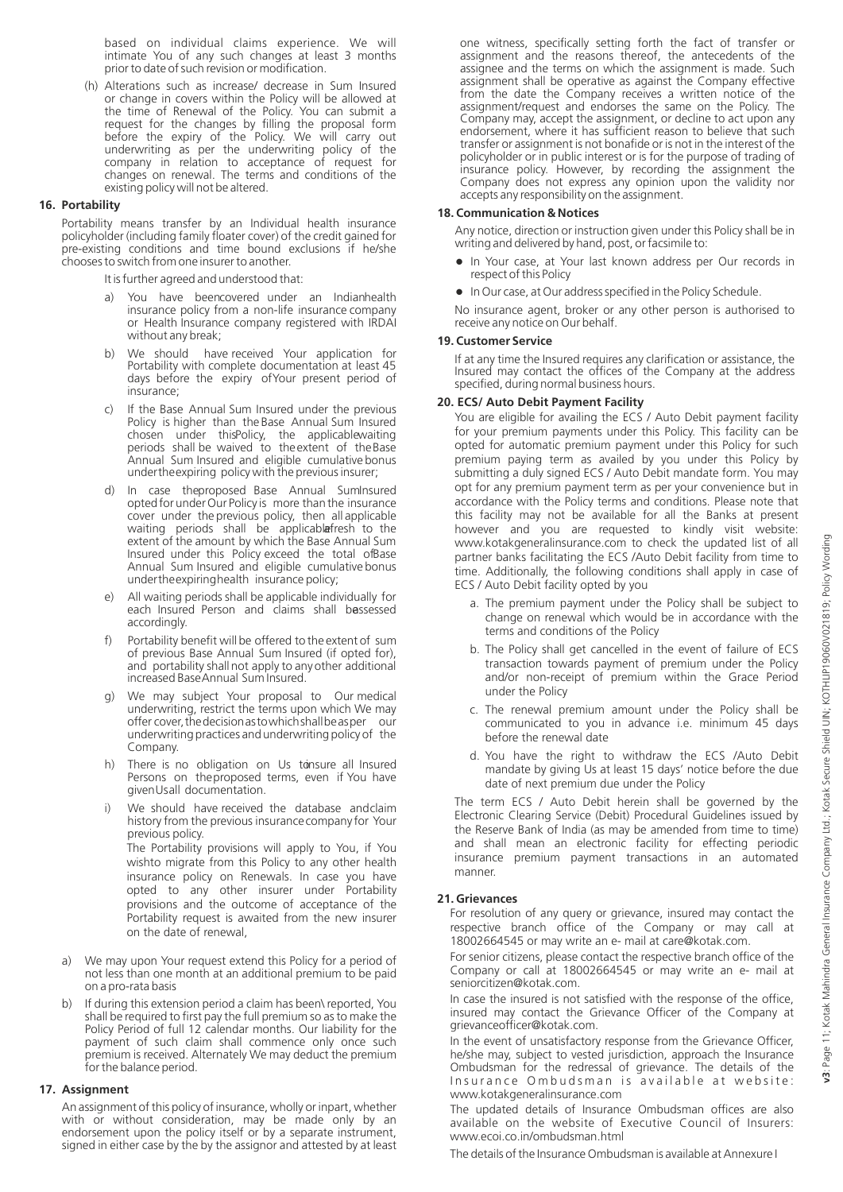based on individual claims experience. We will intimate You of any such changes at least 3 months prior to date of such revision or modification.

(h) Alterations such as increase/ decrease in Sum Insured or change in covers within the Policy will be allowed at the time of Renewal of the Policy. You can submit a request for the changes by filling the proposal form before the expiry of the Policy. We will carry out underwriting as per the underwriting policy of the company in relation to acceptance of request for changes on renewal. The terms and conditions of the existing policy will not be altered.

#### **16. Portability**

Portability means transfer by an Individual health insurance policyholder (including family floater cover) of the credit gained for pre-existing conditions and time bound exclusions if he/she chooses to switch from one insurer to another.

It is further agreed and understood that:

- a) You have beencovered under an Indianhealth insurance policy from a non-life insurance company or Health Insurance company registered with IRDAI without any break;
- b) We should have received Your application for Portability with complete documentation at least 45 days before the expiry of Your present period of insurance;
- c) If the Base Annual Sum Insured under the previous Policy is higher than the Base Annual Sum Insured chosen under this Policy, the applicable waiting periods shall be waived to the extent of the Base Annual Sum Insured and eligible cumulative bonus under the expiring policy with the previous insurer;
- d) In case the proposed Base Annual Sum Insured opted for under Our Policy is more than the insurance cover under the previous policy, then all applicable waiting periods shall be applicablafresh to the extent of the amount by which the Base Annual Sum Insured under this Policy exceed the total ofBase Annual Sum Insured and eligible cumulative bonus under the expiring health insurance policy;
- e) All waiting periods shall be applicable individually for each Insured Person and claims shall bessessed accordingly.
- Portability benefit will be offered to the extent of sum of previous Base Annual Sum Insured (if opted for), and portability shall not apply to any other additional increased Base Annual Sum Insured.
- g) We may subject Your proposal to Our medical underwriting, restrict the terms upon which We may offer cover, the decision as to which shall be as per our underwriting practices and underwriting policy of the Company.
- h) There is no obligation on Us tonsure all Insured Persons on the proposed terms, even if You have given Us all documentation.
- i) We should have received the database and claim history from the previous insurance company for Your previous policy. The Portability provisions will apply to You, if You wishto migrate from this Policy to any other health insurance policy on Renewals. In case you have opted to any other insurer under Portability provisions and the outcome of acceptance of the Portability request is awaited from the new insurer
- a) We may upon Your request extend this Policy for a period of not less than one month at an additional premium to be paid on a pro-rata basis

on the date of renewal,

b) If during this extension period a claim has been\ reported, You shall be required to first pay the full premium so as to make the Policy Period of full 12 calendar months. Our liability for the payment of such claim shall commence only once such premium is received. Alternately We may deduct the premium for the balance period.

#### **17. Assignment**

An assignment of this policy of insurance, wholly or inpart, whether with or without consideration, may be made only by an endorsement upon the policy itself or by a separate instrument, signed in either case by the by the assignor and attested by at least

one witness, specifically setting forth the fact of transfer or assignment and the reasons thereof, the antecedents of the assignee and the terms on which the assignment is made. Such assignment shall be operative as against the Company effective from the date the Company receives a written notice of the assignment/request and endorses the same on the Policy. The Company may, accept the assignment, or decline to act upon any endorsement, where it has sufficient reason to believe that such transfer or assignment is not bonafide or is not in the interest of the policyholder or in public interest or is for the purpose of trading of insurance policy. However, by recording the assignment the Company does not express any opinion upon the validity nor accepts any responsibility on the assignment.

#### **18. Communication & Notices**

Any notice, direction or instruction given under this Policy shall be in writing and delivered by hand, post, or facsimile to:

- In Your case, at Your last known address per Our records in respect of this Policy
- $\bullet$  In Our case, at Our address specified in the Policy Schedule.

No insurance agent, broker or any other person is authorised to receive any notice on Our behalf.

#### **19. Customer Service**

If at any time the Insured requires any clarification or assistance, the Insured may contact the offices of the Company at the address specified, during normal business hours.

#### **20. ECS/ Auto Debit Payment Facility**

You are eligible for availing the ECS / Auto Debit payment facility for your premium payments under this Policy. This facility can be opted for automatic premium payment under this Policy for such premium paying term as availed by you under this Policy by submitting a duly signed ECS / Auto Debit mandate form. You may opt for any premium payment term as per your convenience but in accordance with the Policy terms and conditions. Please note that this facility may not be available for all the Banks at present however and you are requested to kindly visit website: www.kotakgeneralinsurance.com to check the updated list of all partner banks facilitating the ECS /Auto Debit facility from time to time. Additionally, the following conditions shall apply in case of ECS / Auto Debit facility opted by you

- a. The premium payment under the Policy shall be subject to change on renewal which would be in accordance with the terms and conditions of the Policy
- b. The Policy shall get cancelled in the event of failure of ECS transaction towards payment of premium under the Policy and/or non-receipt of premium within the Grace Period under the Policy
- c. The renewal premium amount under the Policy shall be communicated to you in advance i.e. minimum 45 days before the renewal date
- d. You have the right to withdraw the ECS /Auto Debit mandate by giving Us at least 15 days' notice before the due date of next premium due under the Policy

The term ECS / Auto Debit herein shall be governed by the Electronic Clearing Service (Debit) Procedural Guidelines issued by the Reserve Bank of India (as may be amended from time to time) and shall mean an electronic facility for effecting periodic insurance premium payment transactions in an automated manner.

#### **21. Grievances**

For resolution of any query or grievance, insured may contact the respective branch office of the Company or may call at 18002664545 or may write an e- mail at care@kotak.com.

For senior citizens, please contact the respective branch office of the Company or call at 18002664545 or may write an e- mail at seniorcitizen@kotak.com.

In case the insured is not satisfied with the response of the office, insured may contact the Grievance Officer of the Company at grievanceofficer@kotak.com.

In the event of unsatisfactory response from the Grievance Officer, he/she may, subject to vested jurisdiction, approach the Insurance Ombudsman for the redressal of grievance. The details of the Insurance Ombudsman is available at website: www.kotakgeneralinsurance.com

The updated details of Insurance Ombudsman offices are also available on the website of Executive Council of Insurers: www.ecoi.co.in/ombudsman.html

The details of the Insurance Ombudsman is available at Annexure I